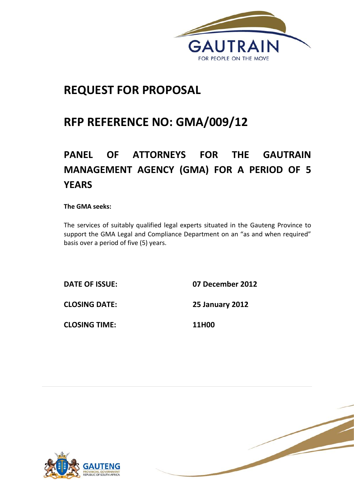

# **REQUEST FOR PROPOSAL**

# **RFP REFERENCE NO: GMA/009/12**

# **PANEL OF ATTORNEYS FOR THE GAUTRAIN MANAGEMENT AGENCY (GMA) FOR A PERIOD OF 5 YEARS**

**The GMA seeks:**

The services of suitably qualified legal experts situated in the Gauteng Province to support the GMA Legal and Compliance Department on an "as and when required" basis over a period of five (5) years.

**DATE OF ISSUE: 07 December 2012**

**CLOSING DATE: 25 January 2012**

**CLOSING TIME: 11H00**



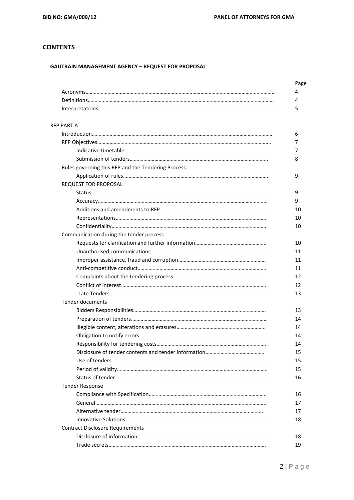# **CONTENTS**

# **GAUTRAIN MANAGEMENT AGENCY – REQUEST FOR PROPOSAL**

| <b>RFP PART A</b>                                  |
|----------------------------------------------------|
|                                                    |
|                                                    |
|                                                    |
|                                                    |
| Rules governing this RFP and the Tendering Process |
|                                                    |
| <b>REQUEST FOR PROPOSAL</b>                        |
|                                                    |
|                                                    |
|                                                    |
|                                                    |
|                                                    |
| Communication during the tender process            |
|                                                    |
|                                                    |
|                                                    |
|                                                    |
|                                                    |
|                                                    |
|                                                    |
| <b>Tender documents</b>                            |
|                                                    |
|                                                    |
|                                                    |
|                                                    |
|                                                    |
|                                                    |
|                                                    |
|                                                    |
|                                                    |
| <b>Tender Response</b>                             |
|                                                    |
|                                                    |
|                                                    |
|                                                    |
| <b>Contract Disclosure Requirements</b>            |
|                                                    |
|                                                    |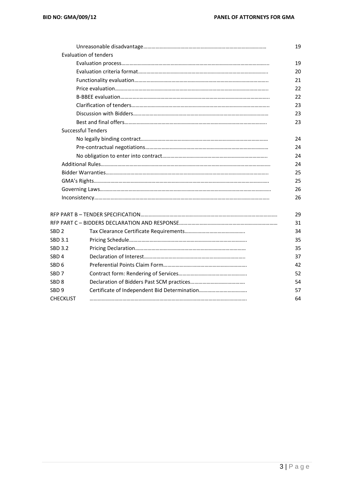|                  |                              | 19 |
|------------------|------------------------------|----|
|                  | <b>Evaluation of tenders</b> |    |
|                  |                              | 19 |
|                  |                              | 20 |
|                  |                              | 21 |
|                  |                              | 22 |
|                  |                              | 22 |
|                  |                              | 23 |
|                  |                              | 23 |
|                  |                              | 23 |
|                  | <b>Successful Tenders</b>    |    |
|                  |                              | 24 |
|                  |                              | 24 |
|                  |                              | 24 |
|                  |                              | 24 |
|                  |                              | 25 |
|                  |                              | 25 |
|                  |                              | 26 |
|                  |                              | 26 |
|                  |                              | 29 |
|                  |                              | 31 |
| SBD <sub>2</sub> |                              | 34 |
| SBD 3.1          |                              | 35 |
| SBD 3.2          |                              | 35 |
| SBD <sub>4</sub> |                              | 37 |
| SBD 6            |                              | 42 |
| SBD <sub>7</sub> |                              | 52 |
| SBD 8            |                              | 54 |
| SBD 9            |                              | 57 |
| <b>CHECKLIST</b> |                              | 64 |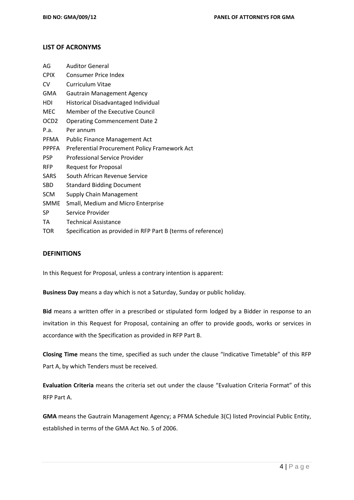## **LIST OF ACRONYMS**

| AG               | <b>Auditor General</b>                                       |
|------------------|--------------------------------------------------------------|
| <b>CPIX</b>      | <b>Consumer Price Index</b>                                  |
| CV               | <b>Curriculum Vitae</b>                                      |
| GMA              | <b>Gautrain Management Agency</b>                            |
| HDI              | Historical Disadvantaged Individual                          |
| MEC              | Member of the Executive Council                              |
| OCD <sub>2</sub> | <b>Operating Commencement Date 2</b>                         |
| P.a.             | Per annum                                                    |
| <b>PFMA</b>      | <b>Public Finance Management Act</b>                         |
| <b>PPPFA</b>     | Preferential Procurement Policy Framework Act                |
| <b>PSP</b>       | Professional Service Provider                                |
| <b>RFP</b>       | <b>Request for Proposal</b>                                  |
| SARS             | South African Revenue Service                                |
| SBD              | <b>Standard Bidding Document</b>                             |
| <b>SCM</b>       | Supply Chain Management                                      |
| <b>SMME</b>      | Small, Medium and Micro Enterprise                           |
| SP               | Service Provider                                             |
| TA               | <b>Technical Assistance</b>                                  |
| TOR              | Specification as provided in RFP Part B (terms of reference) |

#### **DEFINITIONS**

In this Request for Proposal, unless a contrary intention is apparent:

**Business Day** means a day which is not a Saturday, Sunday or public holiday.

**Bid** means a written offer in a prescribed or stipulated form lodged by a Bidder in response to an invitation in this Request for Proposal, containing an offer to provide goods, works or services in accordance with the Specification as provided in RFP Part B.

**Closing Time** means the time, specified as such under the clause "Indicative Timetable" of this RFP Part A, by which Tenders must be received.

**Evaluation Criteria** means the criteria set out under the clause "Evaluation Criteria Format" of this RFP Part A.

**GMA** means the Gautrain Management Agency; a PFMA Schedule 3(C) listed Provincial Public Entity, established in terms of the GMA Act No. 5 of 2006.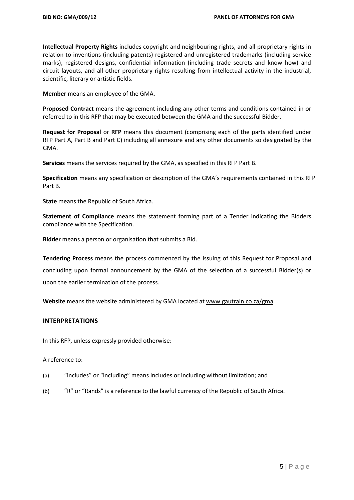**Intellectual Property Rights** includes copyright and neighbouring rights, and all proprietary rights in relation to inventions (including patents) registered and unregistered trademarks (including service marks), registered designs, confidential information (including trade secrets and know how) and circuit layouts, and all other proprietary rights resulting from intellectual activity in the industrial, scientific, literary or artistic fields.

**Member** means an employee of the GMA.

**Proposed Contract** means the agreement including any other terms and conditions contained in or referred to in this RFP that may be executed between the GMA and the successful Bidder.

**Request for Proposal** or **RFP** means this document (comprising each of the parts identified under RFP Part A, Part B and Part C) including all annexure and any other documents so designated by the GMA.

**Services** means the services required by the GMA, as specified in this RFP Part B.

**Specification** means any specification or description of the GMA's requirements contained in this RFP Part B.

**State** means the Republic of South Africa.

**Statement of Compliance** means the statement forming part of a Tender indicating the Bidders compliance with the Specification.

**Bidder** means a person or organisation that submits a Bid.

**Tendering Process** means the process commenced by the issuing of this Request for Proposal and concluding upon formal announcement by the GMA of the selection of a successful Bidder(s) or upon the earlier termination of the process.

**Website** means the website administered by GMA located a[t www.gautrain.co.za/](http://www.gautrain.co.za/)gma

### **INTERPRETATIONS**

In this RFP, unless expressly provided otherwise:

### A reference to:

- (a) "includes" or "including" means includes or including without limitation; and
- (b) "R" or "Rands" is a reference to the lawful currency of the Republic of South Africa.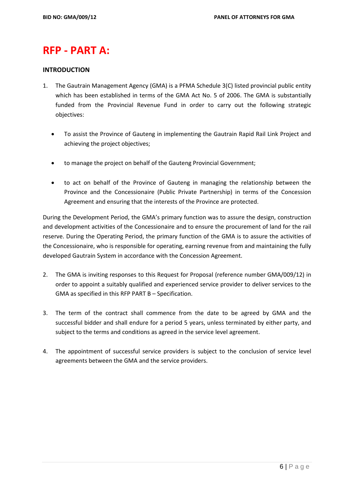# **RFP - PART A:**

## **INTRODUCTION**

- 1. The Gautrain Management Agency (GMA) is a PFMA Schedule 3(C) listed provincial public entity which has been established in terms of the GMA Act No. 5 of 2006. The GMA is substantially funded from the Provincial Revenue Fund in order to carry out the following strategic objectives:
	- To assist the Province of Gauteng in implementing the Gautrain Rapid Rail Link Project and achieving the project objectives;
	- to manage the project on behalf of the Gauteng Provincial Government;
	- to act on behalf of the Province of Gauteng in managing the relationship between the Province and the Concessionaire (Public Private Partnership) in terms of the Concession Agreement and ensuring that the interests of the Province are protected.

During the Development Period, the GMA's primary function was to assure the design, construction and development activities of the Concessionaire and to ensure the procurement of land for the rail reserve. During the Operating Period, the primary function of the GMA is to assure the activities of the Concessionaire, who is responsible for operating, earning revenue from and maintaining the fully developed Gautrain System in accordance with the Concession Agreement.

- 2. The GMA is inviting responses to this Request for Proposal (reference number GMA/009/12) in order to appoint a suitably qualified and experienced service provider to deliver services to the GMA as specified in this RFP PART B – Specification.
- 3. The term of the contract shall commence from the date to be agreed by GMA and the successful bidder and shall endure for a period 5 years, unless terminated by either party, and subject to the terms and conditions as agreed in the service level agreement.
- 4. The appointment of successful service providers is subject to the conclusion of service level agreements between the GMA and the service providers.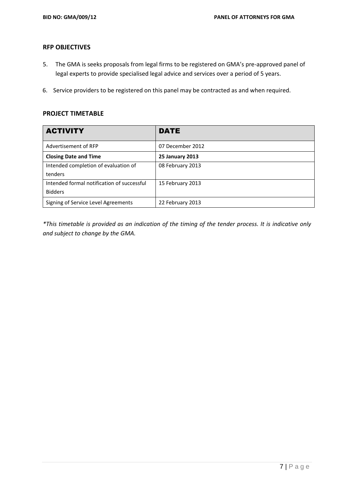## **RFP OBJECTIVES**

- 5. The GMA is seeks proposals from legal firms to be registered on GMA's pre-approved panel of legal experts to provide specialised legal advice and services over a period of 5 years.
- 6. Service providers to be registered on this panel may be contracted as and when required.

# **PROJECT TIMETABLE**

| <b>ACTIVITY</b>                            | DATE                   |
|--------------------------------------------|------------------------|
| Advertisement of RFP                       | 07 December 2012       |
| <b>Closing Date and Time</b>               | <b>25 January 2013</b> |
| Intended completion of evaluation of       | 08 February 2013       |
| tenders                                    |                        |
| Intended formal notification of successful | 15 February 2013       |
| <b>Bidders</b>                             |                        |
| Signing of Service Level Agreements        | 22 February 2013       |

*\*This timetable is provided as an indication of the timing of the tender process. It is indicative only and subject to change by the GMA.*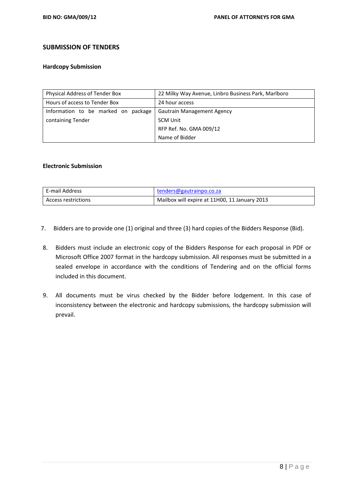# **SUBMISSION OF TENDERS**

#### **Hardcopy Submission**

| Physical Address of Tender Box      | 22 Milky Way Avenue, Linbro Business Park, Marlboro |  |
|-------------------------------------|-----------------------------------------------------|--|
| Hours of access to Tender Box       | 24 hour access                                      |  |
| Information to be marked on package | <b>Gautrain Management Agency</b>                   |  |
| containing Tender                   | <b>SCM Unit</b>                                     |  |
|                                     | RFP Ref. No. GMA 009/12                             |  |
|                                     | Name of Bidder                                      |  |

# **Electronic Submission**

| E-mail Address      | tenders@gautrainpo.co.za                      |
|---------------------|-----------------------------------------------|
| Access restrictions | Mailbox will expire at 11H00, 11 January 2013 |

- 7. Bidders are to provide one (1) original and three (3) hard copies of the Bidders Response (Bid).
- 8. Bidders must include an electronic copy of the Bidders Response for each proposal in PDF or Microsoft Office 2007 format in the hardcopy submission. All responses must be submitted in a sealed envelope in accordance with the conditions of Tendering and on the official forms included in this document.
- 9. All documents must be virus checked by the Bidder before lodgement. In this case of inconsistency between the electronic and hardcopy submissions, the hardcopy submission will prevail.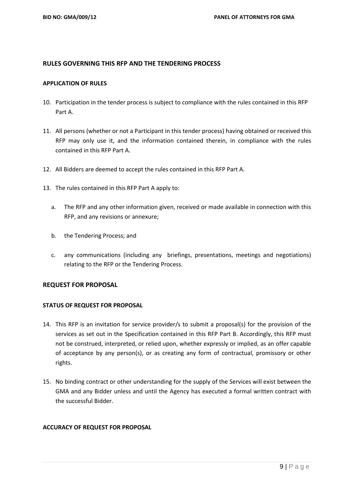## **RULES GOVERNING THIS RFP AND THE TENDERING PROCESS**

#### **APPLICATION OF RULES**

- 10. Participation in the tender process is subject to compliance with the rules contained in this RFP Part A.
- 11. All persons (whether or not a Participant in this tender process) having obtained or received this RFP may only use it, and the information contained therein, in compliance with the rules contained in this RFP Part A.
- 12. All Bidders are deemed to accept the rules contained in this RFP Part A.
- 13. The rules contained in this RFP Part A apply to:
	- a. The RFP and any other information given, received or made available in connection with this RFP, and any revisions or annexure;
	- b. the Tendering Process; and
	- c. any communications (including any briefings, presentations, meetings and negotiations) relating to the RFP or the Tendering Process.

### **REQUEST FOR PROPOSAL**

### **STATUS OF REQUEST FOR PROPOSAL**

- 14. This RFP is an invitation for service provider/s to submit a proposal(s) for the provision of the services as set out in the Specification contained in this RFP Part B. Accordingly, this RFP must not be construed, interpreted, or relied upon, whether expressly or implied, as an offer capable of acceptance by any person(s), or as creating any form of contractual, promissory or other rights.
- 15. No binding contract or other understanding for the supply of the Services will exist between the GMA and any Bidder unless and until the Agency has executed a formal written contract with the successful Bidder.

### **ACCURACY OF REQUEST FOR PROPOSAL**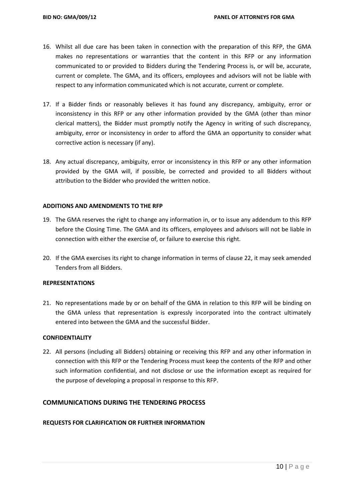- 16. Whilst all due care has been taken in connection with the preparation of this RFP, the GMA makes no representations or warranties that the content in this RFP or any information communicated to or provided to Bidders during the Tendering Process is, or will be, accurate, current or complete. The GMA, and its officers, employees and advisors will not be liable with respect to any information communicated which is not accurate, current or complete.
- 17. If a Bidder finds or reasonably believes it has found any discrepancy, ambiguity, error or inconsistency in this RFP or any other information provided by the GMA (other than minor clerical matters), the Bidder must promptly notify the Agency in writing of such discrepancy, ambiguity, error or inconsistency in order to afford the GMA an opportunity to consider what corrective action is necessary (if any).
- 18. Any actual discrepancy, ambiguity, error or inconsistency in this RFP or any other information provided by the GMA will, if possible, be corrected and provided to all Bidders without attribution to the Bidder who provided the written notice.

### **ADDITIONS AND AMENDMENTS TO THE RFP**

- 19. The GMA reserves the right to change any information in, or to issue any addendum to this RFP before the Closing Time. The GMA and its officers, employees and advisors will not be liable in connection with either the exercise of, or failure to exercise this right.
- 20. If the GMA exercises its right to change information in terms of clause 22, it may seek amended Tenders from all Bidders.

#### **REPRESENTATIONS**

21. No representations made by or on behalf of the GMA in relation to this RFP will be binding on the GMA unless that representation is expressly incorporated into the contract ultimately entered into between the GMA and the successful Bidder.

#### **CONFIDENTIALITY**

22. All persons (including all Bidders) obtaining or receiving this RFP and any other information in connection with this RFP or the Tendering Process must keep the contents of the RFP and other such information confidential, and not disclose or use the information except as required for the purpose of developing a proposal in response to this RFP.

# **COMMUNICATIONS DURING THE TENDERING PROCESS**

### **REQUESTS FOR CLARIFICATION OR FURTHER INFORMATION**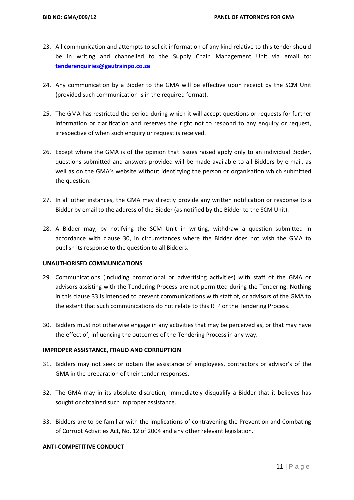- 23. All communication and attempts to solicit information of any kind relative to this tender should be in writing and channelled to the Supply Chain Management Unit via email to: **[tenderenquiries@gautrainpo.co.za](mailto:tenderenquiries@gautrainpo.co.za)**.
- 24. Any communication by a Bidder to the GMA will be effective upon receipt by the SCM Unit (provided such communication is in the required format).
- 25. The GMA has restricted the period during which it will accept questions or requests for further information or clarification and reserves the right not to respond to any enquiry or request, irrespective of when such enquiry or request is received.
- 26. Except where the GMA is of the opinion that issues raised apply only to an individual Bidder, questions submitted and answers provided will be made available to all Bidders by e-mail, as well as on the GMA's website without identifying the person or organisation which submitted the question.
- 27. In all other instances, the GMA may directly provide any written notification or response to a Bidder by email to the address of the Bidder (as notified by the Bidder to the SCM Unit).
- 28. A Bidder may, by notifying the SCM Unit in writing, withdraw a question submitted in accordance with clause 30, in circumstances where the Bidder does not wish the GMA to publish its response to the question to all Bidders.

### **UNAUTHORISED COMMUNICATIONS**

- 29. Communications (including promotional or advertising activities) with staff of the GMA or advisors assisting with the Tendering Process are not permitted during the Tendering. Nothing in this clause 33 is intended to prevent communications with staff of, or advisors of the GMA to the extent that such communications do not relate to this RFP or the Tendering Process.
- 30. Bidders must not otherwise engage in any activities that may be perceived as, or that may have the effect of, influencing the outcomes of the Tendering Process in any way.

### **IMPROPER ASSISTANCE, FRAUD AND CORRUPTION**

- 31. Bidders may not seek or obtain the assistance of employees, contractors or advisor's of the GMA in the preparation of their tender responses.
- 32. The GMA may in its absolute discretion, immediately disqualify a Bidder that it believes has sought or obtained such improper assistance.
- 33. Bidders are to be familiar with the implications of contravening the Prevention and Combating of Corrupt Activities Act, No. 12 of 2004 and any other relevant legislation.

### **ANTI-COMPETITIVE CONDUCT**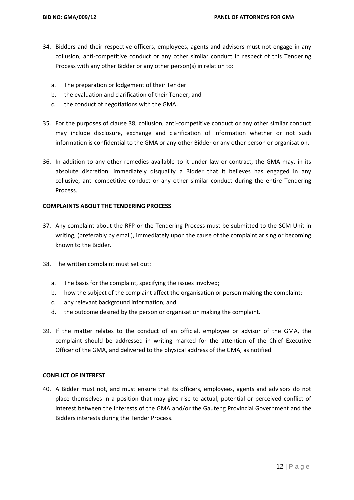- 34. Bidders and their respective officers, employees, agents and advisors must not engage in any collusion, anti-competitive conduct or any other similar conduct in respect of this Tendering Process with any other Bidder or any other person(s) in relation to:
	- a. The preparation or lodgement of their Tender
	- b. the evaluation and clarification of their Tender; and
	- c. the conduct of negotiations with the GMA.
- 35. For the purposes of clause 38, collusion, anti-competitive conduct or any other similar conduct may include disclosure, exchange and clarification of information whether or not such information is confidential to the GMA or any other Bidder or any other person or organisation.
- 36. In addition to any other remedies available to it under law or contract, the GMA may, in its absolute discretion, immediately disqualify a Bidder that it believes has engaged in any collusive, anti-competitive conduct or any other similar conduct during the entire Tendering Process.

### **COMPLAINTS ABOUT THE TENDERING PROCESS**

- 37. Any complaint about the RFP or the Tendering Process must be submitted to the SCM Unit in writing, (preferably by email), immediately upon the cause of the complaint arising or becoming known to the Bidder.
- 38. The written complaint must set out:
	- a. The basis for the complaint, specifying the issues involved;
	- b. how the subject of the complaint affect the organisation or person making the complaint;
	- c. any relevant background information; and
	- d. the outcome desired by the person or organisation making the complaint.
- 39. If the matter relates to the conduct of an official, employee or advisor of the GMA, the complaint should be addressed in writing marked for the attention of the Chief Executive Officer of the GMA, and delivered to the physical address of the GMA, as notified.

## **CONFLICT OF INTEREST**

40. A Bidder must not, and must ensure that its officers, employees, agents and advisors do not place themselves in a position that may give rise to actual, potential or perceived conflict of interest between the interests of the GMA and/or the Gauteng Provincial Government and the Bidders interests during the Tender Process.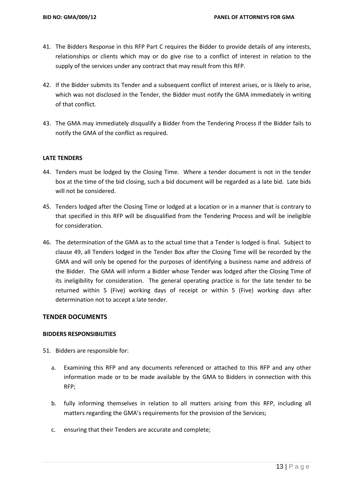- 41. The Bidders Response in this RFP Part C requires the Bidder to provide details of any interests, relationships or clients which may or do give rise to a conflict of interest in relation to the supply of the services under any contract that may result from this RFP.
- 42. If the Bidder submits its Tender and a subsequent conflict of interest arises, or is likely to arise, which was not disclosed in the Tender, the Bidder must notify the GMA immediately in writing of that conflict.
- 43. The GMA may immediately disqualify a Bidder from the Tendering Process if the Bidder fails to notify the GMA of the conflict as required.

### **LATE TENDERS**

- 44. Tenders must be lodged by the Closing Time. Where a tender document is not in the tender box at the time of the bid closing, such a bid document will be regarded as a late bid. Late bids will not be considered.
- 45. Tenders lodged after the Closing Time or lodged at a location or in a manner that is contrary to that specified in this RFP will be disqualified from the Tendering Process and will be ineligible for consideration.
- 46. The determination of the GMA as to the actual time that a Tender is lodged is final. Subject to clause 49, all Tenders lodged in the Tender Box after the Closing Time will be recorded by the GMA and will only be opened for the purposes of identifying a business name and address of the Bidder. The GMA will inform a Bidder whose Tender was lodged after the Closing Time of its ineligibility for consideration. The general operating practice is for the late tender to be returned within 5 (Five) working days of receipt or within 5 (Five) working days after determination not to accept a late tender.

### **TENDER DOCUMENTS**

### **BIDDERS RESPONSIBILITIES**

51. Bidders are responsible for:

- a. Examining this RFP and any documents referenced or attached to this RFP and any other information made or to be made available by the GMA to Bidders in connection with this RFP;
- b. fully informing themselves in relation to all matters arising from this RFP, including all matters regarding the GMA's requirements for the provision of the Services;
- c. ensuring that their Tenders are accurate and complete;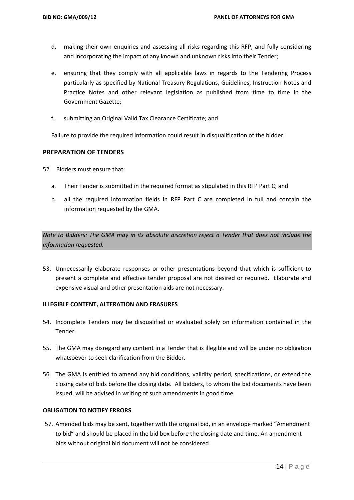- d. making their own enquiries and assessing all risks regarding this RFP, and fully considering and incorporating the impact of any known and unknown risks into their Tender;
- e. ensuring that they comply with all applicable laws in regards to the Tendering Process particularly as specified by National Treasury Regulations, Guidelines, Instruction Notes and Practice Notes and other relevant legislation as published from time to time in the Government Gazette;
- f. submitting an Original Valid Tax Clearance Certificate; and

Failure to provide the required information could result in disqualification of the bidder.

# **PREPARATION OF TENDERS**

52. Bidders must ensure that:

- a. Their Tender is submitted in the required format as stipulated in this RFP Part C; and
- b. all the required information fields in RFP Part C are completed in full and contain the information requested by the GMA.

*Note to Bidders: The GMA may in its absolute discretion reject a Tender that does not include the information requested.*

53. Unnecessarily elaborate responses or other presentations beyond that which is sufficient to present a complete and effective tender proposal are not desired or required. Elaborate and expensive visual and other presentation aids are not necessary.

### **ILLEGIBLE CONTENT, ALTERATION AND ERASURES**

- 54. Incomplete Tenders may be disqualified or evaluated solely on information contained in the Tender.
- 55. The GMA may disregard any content in a Tender that is illegible and will be under no obligation whatsoever to seek clarification from the Bidder.
- 56. The GMA is entitled to amend any bid conditions, validity period, specifications, or extend the closing date of bids before the closing date. All bidders, to whom the bid documents have been issued, will be advised in writing of such amendments in good time.

### **OBLIGATION TO NOTIFY ERRORS**

57. Amended bids may be sent, together with the original bid, in an envelope marked "Amendment to bid" and should be placed in the bid box before the closing date and time. An amendment bids without original bid document will not be considered.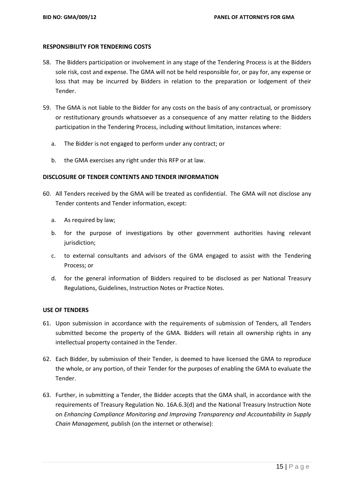#### **RESPONSIBILITY FOR TENDERING COSTS**

- 58. The Bidders participation or involvement in any stage of the Tendering Process is at the Bidders sole risk, cost and expense. The GMA will not be held responsible for, or pay for, any expense or loss that may be incurred by Bidders in relation to the preparation or lodgement of their Tender.
- 59. The GMA is not liable to the Bidder for any costs on the basis of any contractual, or promissory or restitutionary grounds whatsoever as a consequence of any matter relating to the Bidders participation in the Tendering Process, including without limitation, instances where:
	- a. The Bidder is not engaged to perform under any contract; or
	- b. the GMA exercises any right under this RFP or at law.

### **DISCLOSURE OF TENDER CONTENTS AND TENDER INFORMATION**

- 60. All Tenders received by the GMA will be treated as confidential. The GMA will not disclose any Tender contents and Tender information, except:
	- a. As required by law;
	- b. for the purpose of investigations by other government authorities having relevant jurisdiction;
	- c. to external consultants and advisors of the GMA engaged to assist with the Tendering Process; or
	- d. for the general information of Bidders required to be disclosed as per National Treasury Regulations, Guidelines, Instruction Notes or Practice Notes.

### **USE OF TENDERS**

- 61. Upon submission in accordance with the requirements of submission of Tenders, all Tenders submitted become the property of the GMA. Bidders will retain all ownership rights in any intellectual property contained in the Tender.
- 62. Each Bidder, by submission of their Tender, is deemed to have licensed the GMA to reproduce the whole, or any portion, of their Tender for the purposes of enabling the GMA to evaluate the Tender.
- 63. Further, in submitting a Tender, the Bidder accepts that the GMA shall, in accordance with the requirements of Treasury Regulation No. 16A.6.3(d) and the National Treasury Instruction Note on *Enhancing Compliance Monitoring and Improving Transparency and Accountability in Supply Chain Management,* publish (on the internet or otherwise):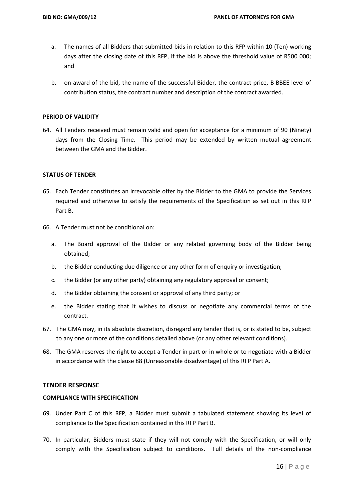- a. The names of all Bidders that submitted bids in relation to this RFP within 10 (Ten) working days after the closing date of this RFP, if the bid is above the threshold value of R500 000; and
- b. on award of the bid, the name of the successful Bidder, the contract price, B-BBEE level of contribution status, the contract number and description of the contract awarded.

#### **PERIOD OF VALIDITY**

64. All Tenders received must remain valid and open for acceptance for a minimum of 90 (Ninety) days from the Closing Time. This period may be extended by written mutual agreement between the GMA and the Bidder.

#### **STATUS OF TENDER**

- 65. Each Tender constitutes an irrevocable offer by the Bidder to the GMA to provide the Services required and otherwise to satisfy the requirements of the Specification as set out in this RFP Part B.
- 66. A Tender must not be conditional on:
	- a. The Board approval of the Bidder or any related governing body of the Bidder being obtained;
	- b. the Bidder conducting due diligence or any other form of enquiry or investigation;
	- c. the Bidder (or any other party) obtaining any regulatory approval or consent;
	- d. the Bidder obtaining the consent or approval of any third party; or
	- e. the Bidder stating that it wishes to discuss or negotiate any commercial terms of the contract.
- 67. The GMA may, in its absolute discretion, disregard any tender that is, or is stated to be, subject to any one or more of the conditions detailed above (or any other relevant conditions).
- 68. The GMA reserves the right to accept a Tender in part or in whole or to negotiate with a Bidder in accordance with the clause 88 (Unreasonable disadvantage) of this RFP Part A.

#### **TENDER RESPONSE**

#### **COMPLIANCE WITH SPECIFICATION**

- 69. Under Part C of this RFP, a Bidder must submit a tabulated statement showing its level of compliance to the Specification contained in this RFP Part B.
- 70. In particular, Bidders must state if they will not comply with the Specification, or will only comply with the Specification subject to conditions. Full details of the non-compliance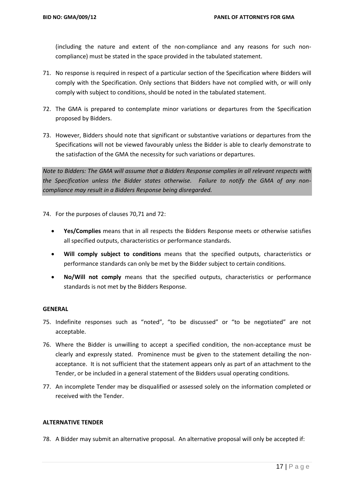(including the nature and extent of the non-compliance and any reasons for such noncompliance) must be stated in the space provided in the tabulated statement.

- 71. No response is required in respect of a particular section of the Specification where Bidders will comply with the Specification. Only sections that Bidders have not complied with, or will only comply with subject to conditions, should be noted in the tabulated statement.
- 72. The GMA is prepared to contemplate minor variations or departures from the Specification proposed by Bidders.
- 73. However, Bidders should note that significant or substantive variations or departures from the Specifications will not be viewed favourably unless the Bidder is able to clearly demonstrate to the satisfaction of the GMA the necessity for such variations or departures.

*Note to Bidders: The GMA will assume that a Bidders Response complies in all relevant respects with the Specification unless the Bidder states otherwise. Failure to notify the GMA of any noncompliance may result in a Bidders Response being disregarded.*

74. For the purposes of clauses 70,71 and 72:

- **Yes/Complies** means that in all respects the Bidders Response meets or otherwise satisfies all specified outputs, characteristics or performance standards.
- **Will comply subject to conditions** means that the specified outputs, characteristics or performance standards can only be met by the Bidder subject to certain conditions.
- **No/Will not comply** means that the specified outputs, characteristics or performance standards is not met by the Bidders Response.

### **GENERAL**

- 75. Indefinite responses such as "noted", "to be discussed" or "to be negotiated" are not acceptable.
- 76. Where the Bidder is unwilling to accept a specified condition, the non-acceptance must be clearly and expressly stated. Prominence must be given to the statement detailing the nonacceptance. It is not sufficient that the statement appears only as part of an attachment to the Tender, or be included in a general statement of the Bidders usual operating conditions.
- 77. An incomplete Tender may be disqualified or assessed solely on the information completed or received with the Tender.

### **ALTERNATIVE TENDER**

78. A Bidder may submit an alternative proposal. An alternative proposal will only be accepted if: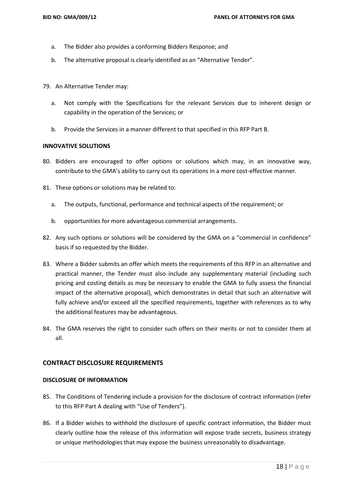- a. The Bidder also provides a conforming Bidders Response; and
- b. The alternative proposal is clearly identified as an "Alternative Tender".
- 79. An Alternative Tender may:
	- a. Not comply with the Specifications for the relevant Services due to inherent design or capability in the operation of the Services; or
	- b. Provide the Services in a manner different to that specified in this RFP Part B.

#### **INNOVATIVE SOLUTIONS**

- 80. Bidders are encouraged to offer options or solutions which may, in an innovative way, contribute to the GMA's ability to carry out its operations in a more cost-effective manner.
- 81. These options or solutions may be related to:
	- a. The outputs, functional, performance and technical aspects of the requirement; or
	- b. opportunities for more advantageous commercial arrangements.
- 82. Any such options or solutions will be considered by the GMA on a "commercial in confidence" basis if so requested by the Bidder.
- 83. Where a Bidder submits an offer which meets the requirements of this RFP in an alternative and practical manner, the Tender must also include any supplementary material (including such pricing and costing details as may be necessary to enable the GMA to fully assess the financial impact of the alternative proposal), which demonstrates in detail that such an alternative will fully achieve and/or exceed all the specified requirements, together with references as to why the additional features may be advantageous.
- 84. The GMA reserves the right to consider such offers on their merits or not to consider them at all.

### **CONTRACT DISCLOSURE REQUIREMENTS**

#### **DISCLOSURE OF INFORMATION**

- 85. The Conditions of Tendering include a provision for the disclosure of contract information (refer to this RFP Part A dealing with "Use of Tenders").
- 86. If a Bidder wishes to withhold the disclosure of specific contract information, the Bidder must clearly outline how the release of this information will expose trade secrets, business strategy or unique methodologies that may expose the business unreasonably to disadvantage.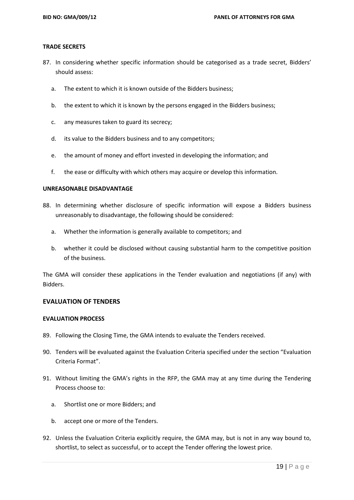#### **TRADE SECRETS**

- 87. In considering whether specific information should be categorised as a trade secret, Bidders' should assess:
	- a. The extent to which it is known outside of the Bidders business;
	- b. the extent to which it is known by the persons engaged in the Bidders business;
	- c. any measures taken to guard its secrecy;
	- d. its value to the Bidders business and to any competitors;
	- e. the amount of money and effort invested in developing the information; and
	- f. the ease or difficulty with which others may acquire or develop this information.

## **UNREASONABLE DISADVANTAGE**

- 88. In determining whether disclosure of specific information will expose a Bidders business unreasonably to disadvantage, the following should be considered:
	- a. Whether the information is generally available to competitors; and
	- b. whether it could be disclosed without causing substantial harm to the competitive position of the business.

The GMA will consider these applications in the Tender evaluation and negotiations (if any) with Bidders.

### **EVALUATION OF TENDERS**

### **EVALUATION PROCESS**

- 89. Following the Closing Time, the GMA intends to evaluate the Tenders received.
- 90. Tenders will be evaluated against the Evaluation Criteria specified under the section "Evaluation Criteria Format".
- 91. Without limiting the GMA's rights in the RFP, the GMA may at any time during the Tendering Process choose to:
	- a. Shortlist one or more Bidders; and
	- b. accept one or more of the Tenders.
- 92. Unless the Evaluation Criteria explicitly require, the GMA may, but is not in any way bound to, shortlist, to select as successful, or to accept the Tender offering the lowest price.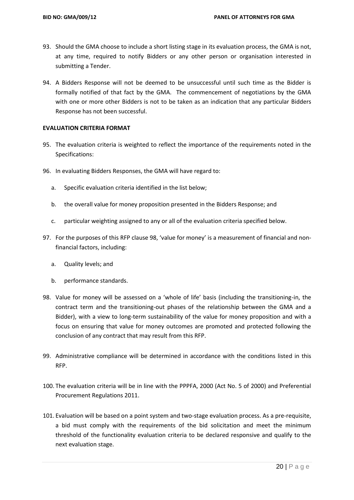- 93. Should the GMA choose to include a short listing stage in its evaluation process, the GMA is not, at any time, required to notify Bidders or any other person or organisation interested in submitting a Tender.
- 94. A Bidders Response will not be deemed to be unsuccessful until such time as the Bidder is formally notified of that fact by the GMA. The commencement of negotiations by the GMA with one or more other Bidders is not to be taken as an indication that any particular Bidders Response has not been successful.

#### **EVALUATION CRITERIA FORMAT**

- 95. The evaluation criteria is weighted to reflect the importance of the requirements noted in the Specifications:
- 96. In evaluating Bidders Responses, the GMA will have regard to:
	- a. Specific evaluation criteria identified in the list below;
	- b. the overall value for money proposition presented in the Bidders Response; and
	- c. particular weighting assigned to any or all of the evaluation criteria specified below.
- 97. For the purposes of this RFP clause 98, 'value for money' is a measurement of financial and nonfinancial factors, including:
	- a. Quality levels; and
	- b. performance standards.
- 98. Value for money will be assessed on a 'whole of life' basis (including the transitioning-in, the contract term and the transitioning-out phases of the relationship between the GMA and a Bidder), with a view to long-term sustainability of the value for money proposition and with a focus on ensuring that value for money outcomes are promoted and protected following the conclusion of any contract that may result from this RFP.
- 99. Administrative compliance will be determined in accordance with the conditions listed in this RFP.
- 100. The evaluation criteria will be in line with the PPPFA, 2000 (Act No. 5 of 2000) and Preferential Procurement Regulations 2011.
- 101. Evaluation will be based on a point system and two-stage evaluation process. As a pre-requisite, a bid must comply with the requirements of the bid solicitation and meet the minimum threshold of the functionality evaluation criteria to be declared responsive and qualify to the next evaluation stage.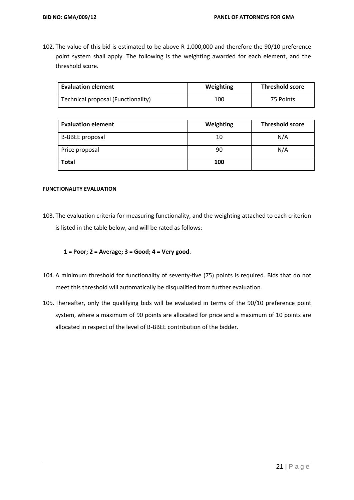102. The value of this bid is estimated to be above R 1,000,000 and therefore the 90/10 preference point system shall apply. The following is the weighting awarded for each element, and the threshold score.

| <b>Evaluation element</b>          | Weighting | <b>Threshold score</b> |  |
|------------------------------------|-----------|------------------------|--|
| Technical proposal (Functionality) | 100       | 75 Points              |  |

| <b>Evaluation element</b> | Weighting | <b>Threshold score</b> |
|---------------------------|-----------|------------------------|
| <b>B-BBEE</b> proposal    | 10        | N/A                    |
| Price proposal            | 90        | N/A                    |
| <b>Total</b>              | 100       |                        |

#### **FUNCTIONALITY EVALUATION**

103. The evaluation criteria for measuring functionality, and the weighting attached to each criterion is listed in the table below, and will be rated as follows:

**1 = Poor; 2 = Average; 3 = Good; 4 = Very good**.

- 104. A minimum threshold for functionality of seventy-five (75) points is required. Bids that do not meet this threshold will automatically be disqualified from further evaluation.
- 105. Thereafter, only the qualifying bids will be evaluated in terms of the 90/10 preference point system, where a maximum of 90 points are allocated for price and a maximum of 10 points are allocated in respect of the level of B-BBEE contribution of the bidder.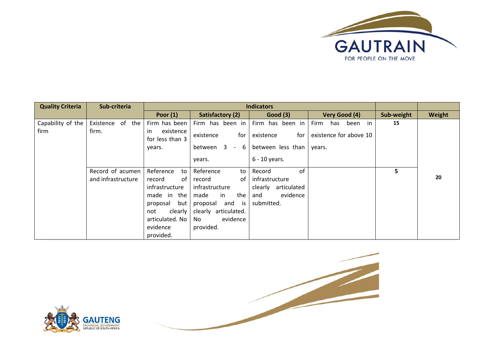

| <b>Quality Criteria</b> | Sub-criteria       | <b>Indicators</b> |                      |                        |                             |            |        |
|-------------------------|--------------------|-------------------|----------------------|------------------------|-----------------------------|------------|--------|
|                         |                    | Poor $(1)$        | Satisfactory (2)     | <b>Good (3)</b>        | Very Good (4)               | Sub-weight | Weight |
| Capability of the       | Existence of the   | Firm has been     | Firm has been in     | Firm has been in       | Firm<br>in i<br>been<br>has | 15         |        |
| firm                    | firm.              | existence<br>in.  | for<br>existence     | existence<br>for       | existence for above 10      |            |        |
|                         |                    | for less than 3   |                      |                        |                             |            |        |
|                         |                    | years.            | between $3 - 6$      | between less than      | years.                      |            |        |
|                         |                    |                   | years.               | $6 - 10$ years.        |                             |            |        |
|                         |                    |                   |                      |                        |                             |            |        |
|                         | Record of acumen   | Reference<br>to   | Reference<br>to      | of<br>Record           |                             | 5          |        |
|                         | and infrastructure | record<br>of      | record<br>of         | infrastructure         |                             |            | 20     |
|                         |                    | infrastructure    | infrastructure       | articulated<br>clearly |                             |            |        |
|                         |                    | made in<br>the    | the<br>made<br>in    | evidence<br>and        |                             |            |        |
|                         |                    | but<br>proposal   | and is<br>proposal   | submitted.             |                             |            |        |
|                         |                    | clearly<br>not    | clearly articulated. |                        |                             |            |        |
|                         |                    | articulated. No   | evidence<br>No       |                        |                             |            |        |
|                         |                    | evidence          | provided.            |                        |                             |            |        |
|                         |                    | provided.         |                      |                        |                             |            |        |



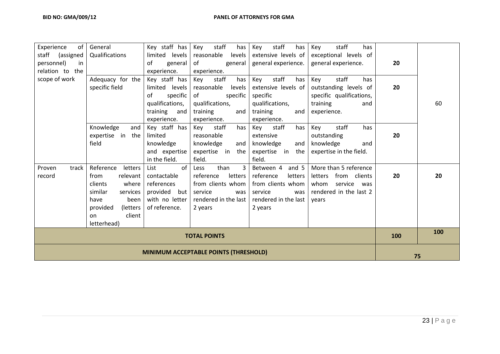| Experience<br>0f                             | General               | Key staff has   | staff<br>Key<br>has  | staff<br>Key<br>has  | staff<br>has<br>Key      |     |    |
|----------------------------------------------|-----------------------|-----------------|----------------------|----------------------|--------------------------|-----|----|
| staff<br>(assigned                           | Qualifications        | limited levels  | reasonable<br>levels | extensive levels of  | exceptional levels of    |     |    |
| personnel)<br>in                             |                       | of<br>general   | of<br>general        | general experience.  | general experience.      | 20  |    |
| relation to the                              |                       | experience.     | experience.          |                      |                          |     |    |
| scope of work                                | Adequacy for the      | Key staff has   | staff<br>Key<br>has  | staff<br>Key<br>has  | staff<br>Key<br>has      |     |    |
|                                              | specific field        | limited levels  | reasonable<br>levels | extensive levels of  | outstanding levels of    | 20  |    |
|                                              |                       | of<br>specific  | of<br>specific       | specific             | specific qualifications, |     |    |
|                                              |                       | qualifications, | qualifications,      | qualifications,      | training<br>and          |     | 60 |
|                                              |                       | training and    | training<br>and      | training<br>and      | experience.              |     |    |
|                                              |                       | experience.     | experience.          | experience.          |                          |     |    |
|                                              | Knowledge<br>and      | Key staff has   | staff<br>Key<br>has  | staff<br>has<br>Key  | staff<br>Key<br>has      |     |    |
|                                              | expertise in the      | limited         | reasonable           | extensive            | outstanding              | 20  |    |
|                                              | field                 | knowledge       | knowledge<br>and     | knowledge<br>and     | knowledge<br>and         |     |    |
|                                              |                       | and expertise   | expertise in the     | expertise in<br>the  | expertise in the field.  |     |    |
|                                              |                       | in the field.   | field.               | field.               |                          |     |    |
| track<br>Proven                              | Reference<br>letters  | of<br>List      | than<br>3<br>Less    | Between 4<br>and $5$ | More than 5 reference    |     |    |
| record                                       | from<br>relevant      | contactable     | reference<br>letters | reference<br>letters | from clients<br>letters  | 20  | 20 |
|                                              | where<br>clients      | references      | from clients whom    | from clients whom    | whom<br>service<br>was   |     |    |
|                                              | similar<br>services   | provided but    | service<br>was       | service<br>was       | rendered in the last 2   |     |    |
|                                              | have<br>been          | with no letter  | rendered in the last | rendered in the last | vears                    |     |    |
|                                              | provided<br>(letters) | of reference.   | 2 years              | 2 years              |                          |     |    |
|                                              | client<br>on          |                 |                      |                      |                          |     |    |
|                                              | letterhead)           |                 |                      |                      |                          |     |    |
| <b>TOTAL POINTS</b>                          |                       |                 |                      |                      | 100                      | 100 |    |
|                                              |                       |                 |                      |                      |                          |     |    |
| <b>MINIMUM ACCEPTABLE POINTS (THRESHOLD)</b> |                       |                 |                      | 75                   |                          |     |    |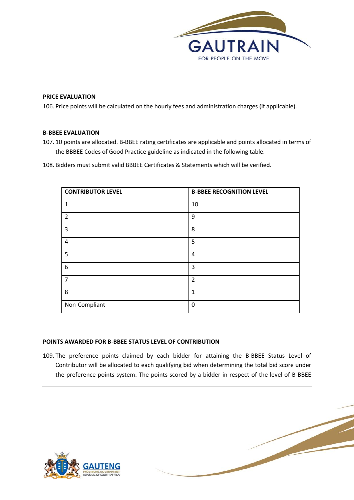

#### **PRICE EVALUATION**

106. Price points will be calculated on the hourly fees and administration charges (if applicable).

# **B-BBEE EVALUATION**

- 107. 10 points are allocated. B-BBEE rating certificates are applicable and points allocated in terms of the BBBEE Codes of Good Practice guideline as indicated in the following table.
- 108. Bidders must submit valid BBBEE Certificates & Statements which will be verified.

| <b>CONTRIBUTOR LEVEL</b> | <b>B-BBEE RECOGNITION LEVEL</b> |
|--------------------------|---------------------------------|
| 1                        | 10                              |
| $\overline{2}$           | 9                               |
| $\mathbf{3}$             | 8                               |
| 4                        | 5                               |
| 5                        | $\overline{4}$                  |
| 6                        | 3                               |
| $\overline{7}$           | $\overline{2}$                  |
| 8                        | $\mathbf{1}$                    |
| Non-Compliant            | 0                               |

#### **POINTS AWARDED FOR B-BBEE STATUS LEVEL OF CONTRIBUTION**

109. The preference points claimed by each bidder for attaining the B-BBEE Status Level of Contributor will be allocated to each qualifying bid when determining the total bid score under the preference points system. The points scored by a bidder in respect of the level of B-BBEE

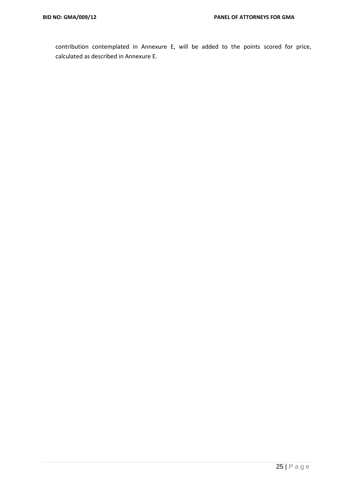contribution contemplated in Annexure E, will be added to the points scored for price, calculated as described in Annexure E.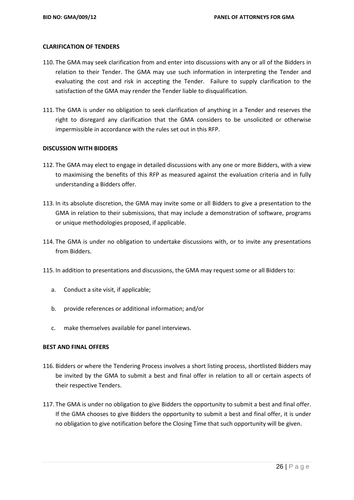#### **CLARIFICATION OF TENDERS**

- 110. The GMA may seek clarification from and enter into discussions with any or all of the Bidders in relation to their Tender. The GMA may use such information in interpreting the Tender and evaluating the cost and risk in accepting the Tender. Failure to supply clarification to the satisfaction of the GMA may render the Tender liable to disqualification.
- 111. The GMA is under no obligation to seek clarification of anything in a Tender and reserves the right to disregard any clarification that the GMA considers to be unsolicited or otherwise impermissible in accordance with the rules set out in this RFP.

#### **DISCUSSION WITH BIDDERS**

- 112. The GMA may elect to engage in detailed discussions with any one or more Bidders, with a view to maximising the benefits of this RFP as measured against the evaluation criteria and in fully understanding a Bidders offer.
- 113. In its absolute discretion, the GMA may invite some or all Bidders to give a presentation to the GMA in relation to their submissions, that may include a demonstration of software, programs or unique methodologies proposed, if applicable.
- 114. The GMA is under no obligation to undertake discussions with, or to invite any presentations from Bidders.
- 115. In addition to presentations and discussions, the GMA may request some or all Bidders to:
	- a. Conduct a site visit, if applicable;
	- b. provide references or additional information; and/or
	- c. make themselves available for panel interviews.

### **BEST AND FINAL OFFERS**

- 116. Bidders or where the Tendering Process involves a short listing process, shortlisted Bidders may be invited by the GMA to submit a best and final offer in relation to all or certain aspects of their respective Tenders.
- 117. The GMA is under no obligation to give Bidders the opportunity to submit a best and final offer. If the GMA chooses to give Bidders the opportunity to submit a best and final offer, it is under no obligation to give notification before the Closing Time that such opportunity will be given.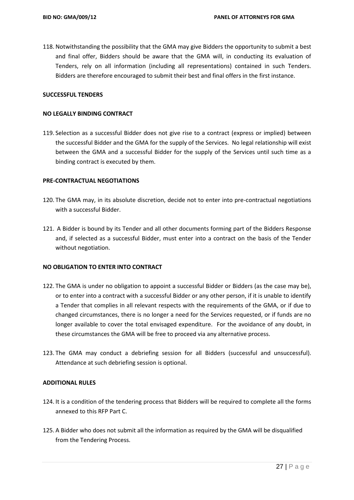118. Notwithstanding the possibility that the GMA may give Bidders the opportunity to submit a best and final offer, Bidders should be aware that the GMA will, in conducting its evaluation of Tenders, rely on all information (including all representations) contained in such Tenders. Bidders are therefore encouraged to submit their best and final offers in the first instance.

## **SUCCESSFUL TENDERS**

#### **NO LEGALLY BINDING CONTRACT**

119. Selection as a successful Bidder does not give rise to a contract (express or implied) between the successful Bidder and the GMA for the supply of the Services. No legal relationship will exist between the GMA and a successful Bidder for the supply of the Services until such time as a binding contract is executed by them.

#### **PRE-CONTRACTUAL NEGOTIATIONS**

- 120. The GMA may, in its absolute discretion, decide not to enter into pre-contractual negotiations with a successful Bidder.
- 121. A Bidder is bound by its Tender and all other documents forming part of the Bidders Response and, if selected as a successful Bidder, must enter into a contract on the basis of the Tender without negotiation.

### **NO OBLIGATION TO ENTER INTO CONTRACT**

- 122. The GMA is under no obligation to appoint a successful Bidder or Bidders (as the case may be), or to enter into a contract with a successful Bidder or any other person, if it is unable to identify a Tender that complies in all relevant respects with the requirements of the GMA, or if due to changed circumstances, there is no longer a need for the Services requested, or if funds are no longer available to cover the total envisaged expenditure. For the avoidance of any doubt, in these circumstances the GMA will be free to proceed via any alternative process.
- 123. The GMA may conduct a debriefing session for all Bidders (successful and unsuccessful). Attendance at such debriefing session is optional.

### **ADDITIONAL RULES**

- 124. It is a condition of the tendering process that Bidders will be required to complete all the forms annexed to this RFP Part C.
- 125. A Bidder who does not submit all the information as required by the GMA will be disqualified from the Tendering Process.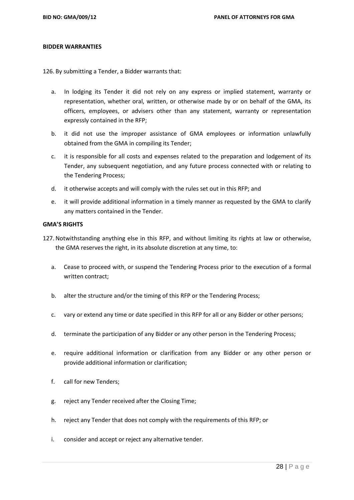#### **BIDDER WARRANTIES**

126. By submitting a Tender, a Bidder warrants that:

- a. In lodging its Tender it did not rely on any express or implied statement, warranty or representation, whether oral, written, or otherwise made by or on behalf of the GMA, its officers, employees, or advisers other than any statement, warranty or representation expressly contained in the RFP;
- b. it did not use the improper assistance of GMA employees or information unlawfully obtained from the GMA in compiling its Tender;
- c. it is responsible for all costs and expenses related to the preparation and lodgement of its Tender, any subsequent negotiation, and any future process connected with or relating to the Tendering Process;
- d. it otherwise accepts and will comply with the rules set out in this RFP; and
- e. it will provide additional information in a timely manner as requested by the GMA to clarify any matters contained in the Tender.

#### **GMA'S RIGHTS**

- 127. Notwithstanding anything else in this RFP, and without limiting its rights at law or otherwise, the GMA reserves the right, in its absolute discretion at any time, to:
	- a. Cease to proceed with, or suspend the Tendering Process prior to the execution of a formal written contract;
	- b. alter the structure and/or the timing of this RFP or the Tendering Process;
	- c. vary or extend any time or date specified in this RFP for all or any Bidder or other persons;
	- d. terminate the participation of any Bidder or any other person in the Tendering Process;
	- e. require additional information or clarification from any Bidder or any other person or provide additional information or clarification;
	- f. call for new Tenders;
	- g. reject any Tender received after the Closing Time;
	- h. reject any Tender that does not comply with the requirements of this RFP; or
	- i. consider and accept or reject any alternative tender.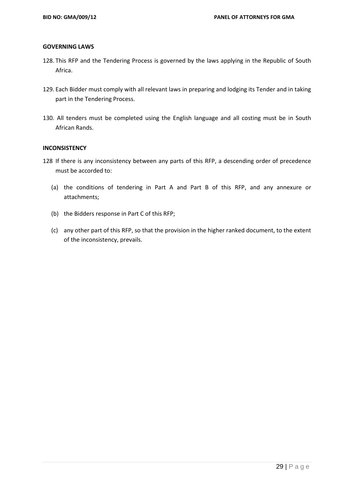#### **GOVERNING LAWS**

- 128. This RFP and the Tendering Process is governed by the laws applying in the Republic of South Africa.
- 129. Each Bidder must comply with all relevant laws in preparing and lodging its Tender and in taking part in the Tendering Process.
- 130. All tenders must be completed using the English language and all costing must be in South African Rands.

# **INCONSISTENCY**

- 128 If there is any inconsistency between any parts of this RFP, a descending order of precedence must be accorded to:
	- (a) the conditions of tendering in Part A and Part B of this RFP, and any annexure or attachments;
	- (b) the Bidders response in Part C of this RFP;
	- (c) any other part of this RFP, so that the provision in the higher ranked document, to the extent of the inconsistency, prevails.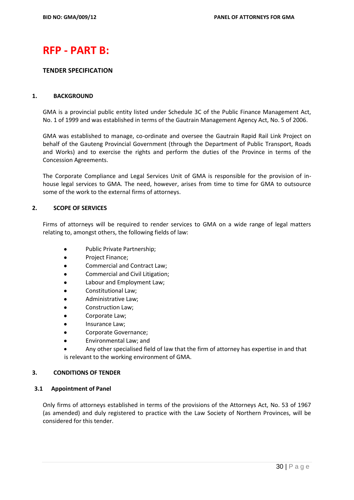# **RFP - PART B:**

## **TENDER SPECIFICATION**

### **1. BACKGROUND**

GMA is a provincial public entity listed under Schedule 3C of the Public Finance Management Act, No. 1 of 1999 and was established in terms of the Gautrain Management Agency Act, No. 5 of 2006.

GMA was established to manage, co-ordinate and oversee the Gautrain Rapid Rail Link Project on behalf of the Gauteng Provincial Government (through the Department of Public Transport, Roads and Works) and to exercise the rights and perform the duties of the Province in terms of the Concession Agreements.

The Corporate Compliance and Legal Services Unit of GMA is responsible for the provision of inhouse legal services to GMA. The need, however, arises from time to time for GMA to outsource some of the work to the external firms of attorneys.

### **2. SCOPE OF SERVICES**

Firms of attorneys will be required to render services to GMA on a wide range of legal matters relating to, amongst others, the following fields of law:

- Public Private Partnership;
- Project Finance;
- Commercial and Contract Law;
- Commercial and Civil Litigation;
- Labour and Employment Law;
- Constitutional Law;
- Administrative Law;
- Construction Law;
- Corporate Law;
- Insurance Law;
- Corporate Governance;
- Environmental Law; and

 Any other specialised field of law that the firm of attorney has expertise in and that is relevant to the working environment of GMA.

### **3. CONDITIONS OF TENDER**

### **3.1 Appointment of Panel**

Only firms of attorneys established in terms of the provisions of the Attorneys Act, No. 53 of 1967 (as amended) and duly registered to practice with the Law Society of Northern Provinces, will be considered for this tender.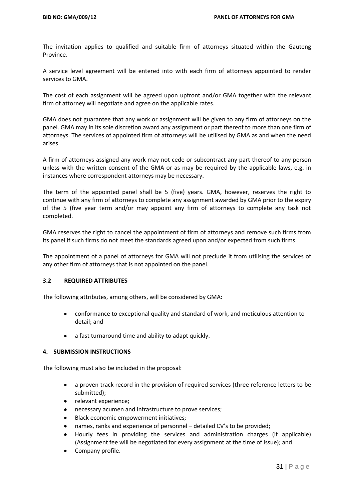The invitation applies to qualified and suitable firm of attorneys situated within the Gauteng Province.

A service level agreement will be entered into with each firm of attorneys appointed to render services to GMA.

The cost of each assignment will be agreed upon upfront and/or GMA together with the relevant firm of attorney will negotiate and agree on the applicable rates.

GMA does not guarantee that any work or assignment will be given to any firm of attorneys on the panel. GMA may in its sole discretion award any assignment or part thereof to more than one firm of attorneys. The services of appointed firm of attorneys will be utilised by GMA as and when the need arises.

A firm of attorneys assigned any work may not cede or subcontract any part thereof to any person unless with the written consent of the GMA or as may be required by the applicable laws, e.g. in instances where correspondent attorneys may be necessary.

The term of the appointed panel shall be 5 (five) years. GMA, however, reserves the right to continue with any firm of attorneys to complete any assignment awarded by GMA prior to the expiry of the 5 (five year term and/or may appoint any firm of attorneys to complete any task not completed.

GMA reserves the right to cancel the appointment of firm of attorneys and remove such firms from its panel if such firms do not meet the standards agreed upon and/or expected from such firms.

The appointment of a panel of attorneys for GMA will not preclude it from utilising the services of any other firm of attorneys that is not appointed on the panel.

### **3.2 REQUIRED ATTRIBUTES**

The following attributes, among others, will be considered by GMA:

- conformance to exceptional quality and standard of work, and meticulous attention to detail; and
- a fast turnaround time and ability to adapt quickly.

### **4. SUBMISSION INSTRUCTIONS**

The following must also be included in the proposal:

- a proven track record in the provision of required services (three reference letters to be submitted);
- relevant experience;
- necessary acumen and infrastructure to prove services;
- **•** Black economic empowerment initiatives;
- names, ranks and experience of personnel detailed CV's to be provided;
- Hourly fees in providing the services and administration charges (if applicable) (Assignment fee will be negotiated for every assignment at the time of issue); and
- Company profile.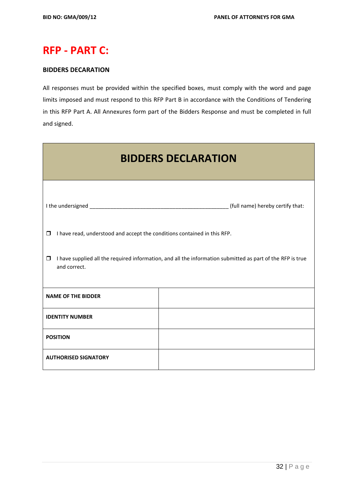# **RFP - PART C:**

# **BIDDERS DECARATION**

All responses must be provided within the specified boxes, must comply with the word and page limits imposed and must respond to this RFP Part B in accordance with the Conditions of Tendering in this RFP Part A. All Annexures form part of the Bidders Response and must be completed in full and signed.

| <b>BIDDERS DECLARATION</b>                                                                                                           |                                                                          |  |  |  |  |
|--------------------------------------------------------------------------------------------------------------------------------------|--------------------------------------------------------------------------|--|--|--|--|
|                                                                                                                                      | (full name) hereby certify that:                                         |  |  |  |  |
| $\Box$                                                                                                                               | I have read, understood and accept the conditions contained in this RFP. |  |  |  |  |
| I have supplied all the required information, and all the information submitted as part of the RFP is true<br>$\Box$<br>and correct. |                                                                          |  |  |  |  |
| <b>NAME OF THE BIDDER</b>                                                                                                            |                                                                          |  |  |  |  |
| <b>IDENTITY NUMBER</b>                                                                                                               |                                                                          |  |  |  |  |
| <b>POSITION</b>                                                                                                                      |                                                                          |  |  |  |  |
| <b>AUTHORISED SIGNATORY</b>                                                                                                          |                                                                          |  |  |  |  |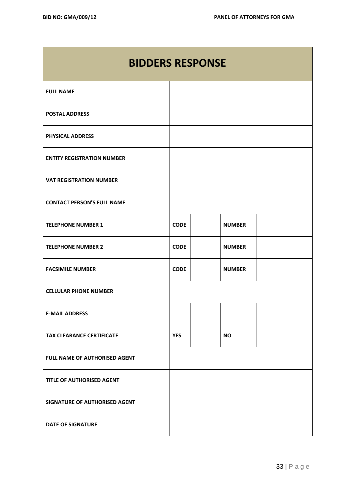# **BIDDERS RESPONSE**

| <b>FULL NAME</b>                     |             |               |  |
|--------------------------------------|-------------|---------------|--|
| <b>POSTAL ADDRESS</b>                |             |               |  |
| <b>PHYSICAL ADDRESS</b>              |             |               |  |
| <b>ENTITY REGISTRATION NUMBER</b>    |             |               |  |
| <b>VAT REGISTRATION NUMBER</b>       |             |               |  |
| <b>CONTACT PERSON'S FULL NAME</b>    |             |               |  |
| <b>TELEPHONE NUMBER 1</b>            | <b>CODE</b> | <b>NUMBER</b> |  |
| <b>TELEPHONE NUMBER 2</b>            | <b>CODE</b> | <b>NUMBER</b> |  |
| <b>FACSIMILE NUMBER</b>              | <b>CODE</b> | <b>NUMBER</b> |  |
| <b>CELLULAR PHONE NUMBER</b>         |             |               |  |
| <b>E-MAIL ADDRESS</b>                |             |               |  |
| <b>TAX CLEARANCE CERTIFICATE</b>     | <b>YES</b>  | <b>NO</b>     |  |
| FULL NAME OF AUTHORISED AGENT        |             |               |  |
| TITLE OF AUTHORISED AGENT            |             |               |  |
| <b>SIGNATURE OF AUTHORISED AGENT</b> |             |               |  |
| <b>DATE OF SIGNATURE</b>             |             |               |  |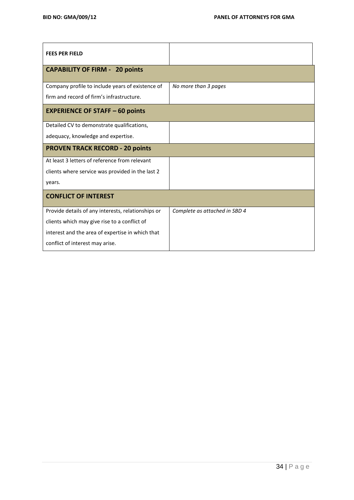| <b>FEES PER FIELD</b>                              |                               |
|----------------------------------------------------|-------------------------------|
| <b>CAPABILITY OF FIRM - 20 points</b>              |                               |
| Company profile to include years of existence of   | No more than 3 pages          |
| firm and record of firm's infrastructure.          |                               |
| <b>EXPERIENCE OF STAFF - 60 points</b>             |                               |
| Detailed CV to demonstrate qualifications,         |                               |
| adequacy, knowledge and expertise.                 |                               |
| <b>PROVEN TRACK RECORD - 20 points</b>             |                               |
| At least 3 letters of reference from relevant      |                               |
| clients where service was provided in the last 2   |                               |
| years.                                             |                               |
| <b>CONFLICT OF INTEREST</b>                        |                               |
| Provide details of any interests, relationships or | Complete as attached in SBD 4 |
| clients which may give rise to a conflict of       |                               |
| interest and the area of expertise in which that   |                               |
| conflict of interest may arise.                    |                               |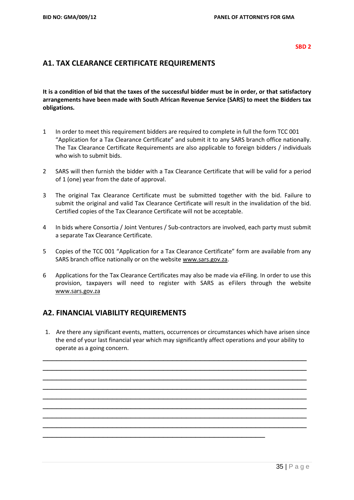#### **SBD 2**

# **A1. TAX CLEARANCE CERTIFICATE REQUIREMENTS**

**It is a condition of bid that the taxes of the successful bidder must be in order, or that satisfactory arrangements have been made with South African Revenue Service (SARS) to meet the Bidders tax obligations.**

- 1 In order to meet this requirement bidders are required to complete in full the form TCC 001 "Application for a Tax Clearance Certificate" and submit it to any SARS branch office nationally. The Tax Clearance Certificate Requirements are also applicable to foreign bidders / individuals who wish to submit bids.
- 2 SARS will then furnish the bidder with a Tax Clearance Certificate that will be valid for a period of 1 (one) year from the date of approval.
- 3 The original Tax Clearance Certificate must be submitted together with the bid. Failure to submit the original and valid Tax Clearance Certificate will result in the invalidation of the bid. Certified copies of the Tax Clearance Certificate will not be acceptable.
- 4 In bids where Consortia / Joint Ventures / Sub-contractors are involved, each party must submit a separate Tax Clearance Certificate.
- 5 Copies of the TCC 001 "Application for a Tax Clearance Certificate" form are available from any SARS branch office nationally or on the website [www.sars.gov.za.](http://www.sars.gov.za/)
- 6 Applications for the Tax Clearance Certificates may also be made via eFiling. In order to use this provision, taxpayers will need to register with SARS as eFilers through the website [www.sars.gov.za](http://www.sars.gov.za/)

# **A2. FINANCIAL VIABILITY REQUIREMENTS**

1. Are there any significant events, matters, occurrences or circumstances which have arisen since the end of your last financial year which may significantly affect operations and your ability to operate as a going concern.

\_\_\_\_\_\_\_\_\_\_\_\_\_\_\_\_\_\_\_\_\_\_\_\_\_\_\_\_\_\_\_\_\_\_\_\_\_\_\_\_\_\_\_\_\_\_\_\_\_\_\_\_\_\_\_\_\_ \_\_\_\_\_\_\_\_\_\_\_\_\_\_\_\_\_\_\_\_\_\_\_\_\_\_\_\_\_\_\_\_\_\_\_\_\_\_\_\_\_\_\_\_\_\_\_\_\_\_\_\_\_\_\_\_\_ \_\_\_\_\_\_\_\_\_\_\_\_\_\_\_\_\_\_\_\_\_\_\_\_\_\_\_\_\_\_\_\_\_\_\_\_\_\_\_\_\_\_\_\_\_\_\_\_\_\_\_\_\_\_\_\_\_ \_\_\_\_\_\_\_\_\_\_\_\_\_\_\_\_\_\_\_\_\_\_\_\_\_\_\_\_\_\_\_\_\_\_\_\_\_\_\_\_\_\_\_\_\_\_\_\_\_\_\_\_\_\_\_\_\_ \_\_\_\_\_\_\_\_\_\_\_\_\_\_\_\_\_\_\_\_\_\_\_\_\_\_\_\_\_\_\_\_\_\_\_\_\_\_\_\_\_\_\_\_\_\_\_\_\_\_\_\_\_\_\_\_\_ \_\_\_\_\_\_\_\_\_\_\_\_\_\_\_\_\_\_\_\_\_\_\_\_\_\_\_\_\_\_\_\_\_\_\_\_\_\_\_\_\_\_\_\_\_\_\_\_\_\_\_\_\_\_\_\_\_ \_\_\_\_\_\_\_\_\_\_\_\_\_\_\_\_\_\_\_\_\_\_\_\_\_\_\_\_\_\_\_\_\_\_\_\_\_\_\_\_\_\_\_\_\_\_\_\_\_\_\_\_\_\_\_\_\_ \_\_\_\_\_\_\_\_\_\_\_\_\_\_\_\_\_\_\_\_\_\_\_\_\_\_\_\_\_\_\_\_\_\_\_\_\_\_\_\_\_\_\_\_\_\_\_\_\_\_\_\_\_\_\_\_\_

\_\_\_\_\_\_\_\_\_\_\_\_\_\_\_\_\_\_\_\_\_\_\_\_\_\_\_\_\_\_\_\_\_\_\_\_\_\_\_\_\_\_\_\_\_\_\_\_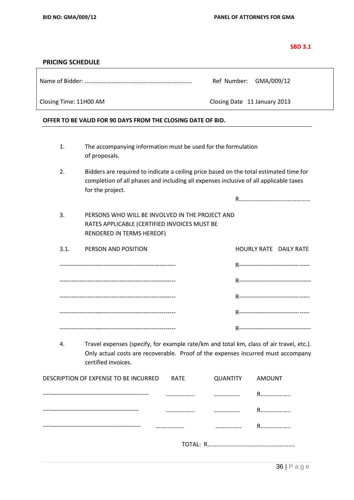| $\sim$ |  | ۰.<br>× |  |
|--------|--|---------|--|

### **PRICING SCHEDULE**

Name of Bidder: …………………………………………………………….. Ref Number: GMA/009/12

Closing Time: 11H00 AM Closing Date 11 January 2013

- 1. The accompanying information must be used for the formulation of proposals.
- 2. Bidders are required to indicate a ceiling price based on the total estimated time for completion of all phases and including all expenses inclusive of all applicable taxes for the project.

3. PERSONS WHO WILL BE INVOLVED IN THE PROJECT AND RATES APPLICABLE (CERTIFIED INVOICES MUST BE RENDERED IN TERMS HEREOF)

| 3.1. | PERSON AND POSITION | <b>HOURLY RATE DAILY RATE</b>           |  |
|------|---------------------|-----------------------------------------|--|
|      |                     | R-------------------------------- ----- |  |
|      |                     |                                         |  |
|      |                     | R-------------------------------- ----- |  |
|      |                     | R------------------------------- -----  |  |
|      |                     |                                         |  |

4. Travel expenses (specify, for example rate/km and total km, class of air travel, etc.). Only actual costs are recoverable. Proof of the expenses incurred must accompany certified invoices.

| DESCRIPTION OF EXPENSE TO BE INCURRED RATE |                 | QUANTITY AMOUNT |    |
|--------------------------------------------|-----------------|-----------------|----|
|                                            |                 |                 | R. |
|                                            |                 |                 | R  |
|                                            |                 |                 | R  |
|                                            | <b>TOTAL: R</b> |                 |    |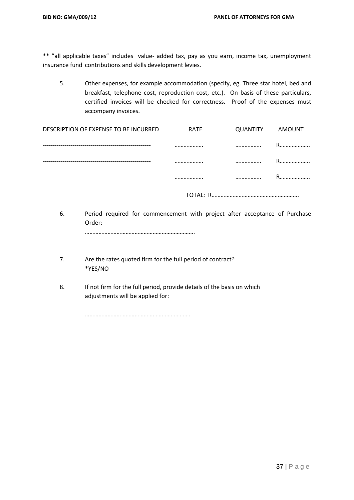\*\* "all applicable taxes" includes value- added tax, pay as you earn, income tax, unemployment insurance fund contributions and skills development levies.

5. Other expenses, for example accommodation (specify, eg. Three star hotel, bed and breakfast, telephone cost, reproduction cost, etc.). On basis of these particulars, certified invoices will be checked for correctness. Proof of the expenses must accompany invoices.

| DESCRIPTION OF EXPENSE TO BE INCURRED | <b>RATE</b> | QUANTITY | AMOUNT |
|---------------------------------------|-------------|----------|--------|
|                                       |             |          | R      |
|                                       |             |          | D      |
|                                       |             |          |        |
|                                       |             |          |        |

TOTAL: R………………………………………………….

6. Period required for commencement with project after acceptance of Purchase Order: ……………………………………………………………….

- 7. Are the rates quoted firm for the full period of contract? \*YES/NO
- 8. If not firm for the full period, provide details of the basis on which adjustments will be applied for:

…………………………………………………………….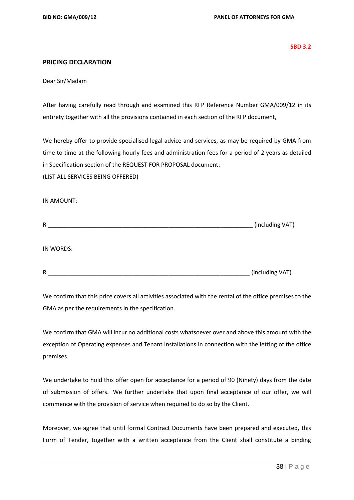**SBD 3.2**

# **PRICING DECLARATION**

Dear Sir/Madam

After having carefully read through and examined this RFP Reference Number GMA/009/12 in its entirety together with all the provisions contained in each section of the RFP document,

We hereby offer to provide specialised legal advice and services, as may be required by GMA from time to time at the following hourly fees and administration fees for a period of 2 years as detailed in Specification section of the REQUEST FOR PROPOSAL document: (LIST ALL SERVICES BEING OFFERED)

#### IN AMOUNT:

| R         | (including VAT) |
|-----------|-----------------|
|           |                 |
| IN WORDS: |                 |

R ZER AND THE SERVICE OF THE SERVICE OF THE SERVICE OF THE SERVICE OF THE SERVICE OF THE SERVICE OF THE SERVICE OF THE SERVICE OF THE SERVICE OF THE SERVICE OF THE SERVICE OF THE SERVICE OF THE SERVICE OF THE SERVICE OF TH

We confirm that this price covers all activities associated with the rental of the office premises to the GMA as per the requirements in the specification.

We confirm that GMA will incur no additional costs whatsoever over and above this amount with the exception of Operating expenses and Tenant Installations in connection with the letting of the office premises.

We undertake to hold this offer open for acceptance for a period of 90 (Ninety) days from the date of submission of offers. We further undertake that upon final acceptance of our offer, we will commence with the provision of service when required to do so by the Client.

Moreover, we agree that until formal Contract Documents have been prepared and executed, this Form of Tender, together with a written acceptance from the Client shall constitute a binding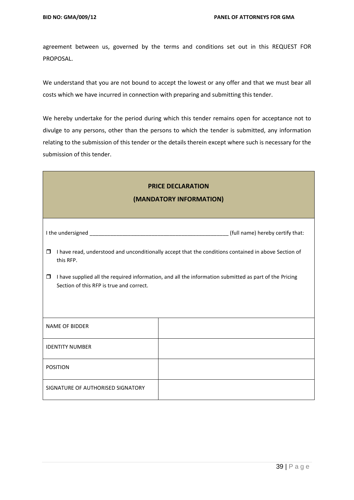agreement between us, governed by the terms and conditions set out in this REQUEST FOR PROPOSAL.

We understand that you are not bound to accept the lowest or any offer and that we must bear all costs which we have incurred in connection with preparing and submitting this tender.

We hereby undertake for the period during which this tender remains open for acceptance not to divulge to any persons, other than the persons to which the tender is submitted, any information relating to the submission of this tender or the details therein except where such is necessary for the submission of this tender.

| <b>PRICE DECLARATION</b><br>(MANDATORY INFORMATION)                                                                                                          |                                  |  |  |  |  |  |  |
|--------------------------------------------------------------------------------------------------------------------------------------------------------------|----------------------------------|--|--|--|--|--|--|
|                                                                                                                                                              | (full name) hereby certify that: |  |  |  |  |  |  |
| I have read, understood and unconditionally accept that the conditions contained in above Section of<br>$\Box$<br>this RFP.                                  |                                  |  |  |  |  |  |  |
| I have supplied all the required information, and all the information submitted as part of the Pricing<br>$\Box$<br>Section of this RFP is true and correct. |                                  |  |  |  |  |  |  |
| <b>NAME OF BIDDER</b>                                                                                                                                        |                                  |  |  |  |  |  |  |
| <b>IDENTITY NUMBER</b>                                                                                                                                       |                                  |  |  |  |  |  |  |
| <b>POSITION</b>                                                                                                                                              |                                  |  |  |  |  |  |  |
| SIGNATURE OF AUTHORISED SIGNATORY                                                                                                                            |                                  |  |  |  |  |  |  |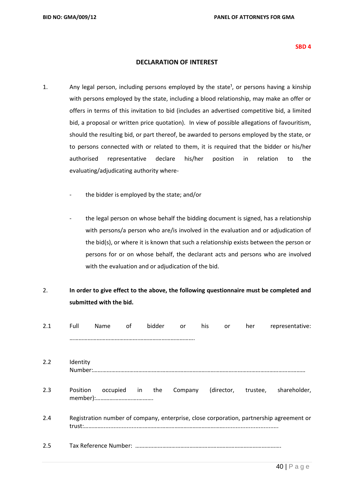#### **SBD 4**

## **DECLARATION OF INTEREST**

- 1. Any legal person, including persons employed by the state<sup>1</sup>, or persons having a kinship with persons employed by the state, including a blood relationship, may make an offer or offers in terms of this invitation to bid (includes an advertised competitive bid, a limited bid, a proposal or written price quotation). In view of possible allegations of favouritism, should the resulting bid, or part thereof, be awarded to persons employed by the state, or to persons connected with or related to them, it is required that the bidder or his/her authorised representative declare his/her position in relation to the evaluating/adjudicating authority where
	- the bidder is employed by the state; and/or
	- the legal person on whose behalf the bidding document is signed, has a relationship with persons/a person who are/is involved in the evaluation and or adjudication of the bid(s), or where it is known that such a relationship exists between the person or persons for or on whose behalf, the declarant acts and persons who are involved with the evaluation and or adjudication of the bid.

# 2. **In order to give effect to the above, the following questionnaire must be completed and submitted with the bid.**

| 2.1 | Full     | <b>Name</b>     | of | bidder | <b>or</b> | his | or | her | representative:                                                                         |
|-----|----------|-----------------|----|--------|-----------|-----|----|-----|-----------------------------------------------------------------------------------------|
|     |          |                 |    |        |           |     |    |     |                                                                                         |
| 2.2 | Identity |                 |    |        |           |     |    |     |                                                                                         |
|     |          |                 |    |        |           |     |    |     |                                                                                         |
| 2.3 | Position | occupied in the |    |        |           |     |    |     | Company (director, trustee, shareholder,                                                |
| 2.4 |          |                 |    |        |           |     |    |     | Registration number of company, enterprise, close corporation, partnership agreement or |
| 2.5 |          |                 |    |        |           |     |    |     |                                                                                         |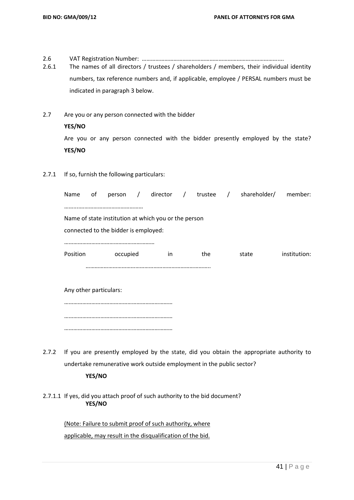2.6 VAT Registration Number: ………………………………………………………………………………....

2.6.1 The names of all directors / trustees / shareholders / members, their individual identity numbers, tax reference numbers and, if applicable, employee / PERSAL numbers must be indicated in paragraph 3 below.

- 2.7 Are you or any person connected with the bidder **YES/NO** Are you or any person connected with the bidder presently employed by the state? **YES/NO**
- 2.7.1 If so, furnish the following particulars:

| Name                                                 | оf                     |          |  |    |  |     |  | person / director / trustee / shareholder/ member: |              |
|------------------------------------------------------|------------------------|----------|--|----|--|-----|--|----------------------------------------------------|--------------|
|                                                      |                        |          |  |    |  |     |  |                                                    |              |
| Name of state institution at which you or the person |                        |          |  |    |  |     |  |                                                    |              |
| connected to the bidder is employed:                 |                        |          |  |    |  |     |  |                                                    |              |
|                                                      |                        |          |  |    |  |     |  |                                                    |              |
| Position                                             |                        | occupied |  | in |  | the |  | state                                              | institution: |
|                                                      |                        |          |  |    |  |     |  |                                                    |              |
|                                                      |                        |          |  |    |  |     |  |                                                    |              |
|                                                      | Any other particulars: |          |  |    |  |     |  |                                                    |              |
|                                                      |                        |          |  |    |  |     |  |                                                    |              |
|                                                      |                        |          |  |    |  |     |  |                                                    |              |

- ………………………………………………………………
- 2.7.2 If you are presently employed by the state, did you obtain the appropriate authority to undertake remunerative work outside employment in the public sector?

# **YES/NO**

2.7.1.1 If yes, did you attach proof of such authority to the bid document? **YES/NO**

> (Note: Failure to submit proof of such authority, where applicable, may result in the disqualification of the bid.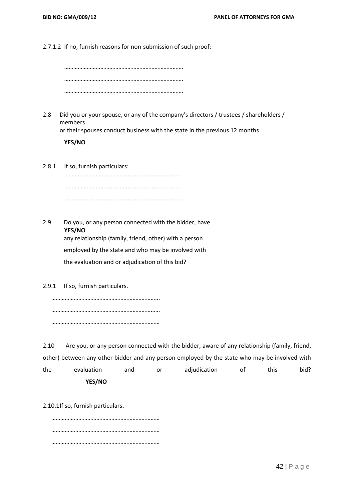2.7.1.2 If no, furnish reasons for non-submission of such proof:

2.8 Did you or your spouse, or any of the company's directors / trustees / shareholders / members

or their spouses conduct business with the state in the previous 12 months

**YES/NO**

2.8.1 If so, furnish particulars: ………………………………………………………………….. ………………………………………………………………….. …………………………………………………………………...

2.9 Do you, or any person connected with the bidder, have **YES/NO** any relationship (family, friend, other) with a person employed by the state and who may be involved with the evaluation and or adjudication of this bid?

2.9.1 If so, furnish particulars.

……………………………………………………………... …………………………………………………………..…. ………………………………………………………………

2.10 Are you, or any person connected with the bidder, aware of any relationship (family, friend, other) between any other bidder and any person employed by the state who may be involved with the evaluation and or adjudication of this bid? **YES/NO**

2.10.1If so, furnish particulars**.**

……………………………………………………………… ……………………………………………………………… ………………………………………………………………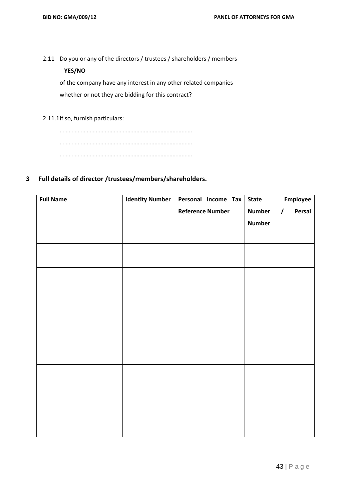2.11 Do you or any of the directors / trustees / shareholders / members

# **YES/NO**

of the company have any interest in any other related companies whether or not they are bidding for this contract?

2.11.1If so, furnish particulars:

……………………………………………………………………………. ……………………………………………………………………………. …………………………………………………………………………….

# **3 Full details of director /trustees/members/shareholders.**

| <b>Full Name</b> | <b>Identity Number</b> | Personal Income Tax     | <b>State</b>  | Employee           |
|------------------|------------------------|-------------------------|---------------|--------------------|
|                  |                        | <b>Reference Number</b> | <b>Number</b> | Persal<br>$\prime$ |
|                  |                        |                         | <b>Number</b> |                    |
|                  |                        |                         |               |                    |
|                  |                        |                         |               |                    |
|                  |                        |                         |               |                    |
|                  |                        |                         |               |                    |
|                  |                        |                         |               |                    |
|                  |                        |                         |               |                    |
|                  |                        |                         |               |                    |
|                  |                        |                         |               |                    |
|                  |                        |                         |               |                    |
|                  |                        |                         |               |                    |
|                  |                        |                         |               |                    |
|                  |                        |                         |               |                    |
|                  |                        |                         |               |                    |
|                  |                        |                         |               |                    |
|                  |                        |                         |               |                    |
|                  |                        |                         |               |                    |
|                  |                        |                         |               |                    |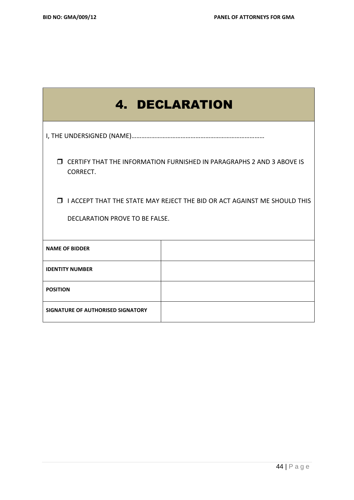|                                                                                                                     | <b>4. DECLARATION</b> |  |  |  |
|---------------------------------------------------------------------------------------------------------------------|-----------------------|--|--|--|
|                                                                                                                     |                       |  |  |  |
| <b>J CERTIFY THAT THE INFORMATION FURNISHED IN PARAGRAPHS 2 AND 3 ABOVE IS</b><br>CORRECT.                          |                       |  |  |  |
| <b>I</b> I ACCEPT THAT THE STATE MAY REJECT THE BID OR ACT AGAINST ME SHOULD THIS<br>DECLARATION PROVE TO BE FALSE. |                       |  |  |  |
| <b>NAME OF BIDDER</b>                                                                                               |                       |  |  |  |
| <b>IDENTITY NUMBER</b>                                                                                              |                       |  |  |  |
| <b>POSITION</b>                                                                                                     |                       |  |  |  |
| SIGNATURE OF AUTHORISED SIGNATORY                                                                                   |                       |  |  |  |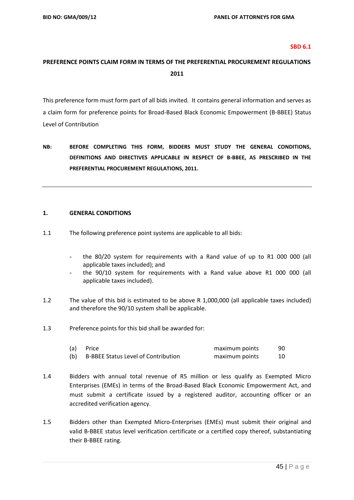#### **SBD 6.1**

# **PREFERENCE POINTS CLAIM FORM IN TERMS OF THE PREFERENTIAL PROCUREMENT REGULATIONS 2011**

This preference form must form part of all bids invited. It contains general information and serves as a claim form for preference points for Broad-Based Black Economic Empowerment (B-BBEE) Status Level of Contribution

**NB: BEFORE COMPLETING THIS FORM, BIDDERS MUST STUDY THE GENERAL CONDITIONS, DEFINITIONS AND DIRECTIVES APPLICABLE IN RESPECT OF B-BBEE, AS PRESCRIBED IN THE PREFERENTIAL PROCUREMENT REGULATIONS, 2011.** 

#### **1. GENERAL CONDITIONS**

- 1.1 The following preference point systems are applicable to all bids:
	- the 80/20 system for requirements with a Rand value of up to R1 000 000 (all applicable taxes included); and
	- the 90/10 system for requirements with a Rand value above R1 000 000 (all applicable taxes included).
- 1.2 The value of this bid is estimated to be above R 1,000,000 (all applicable taxes included) and therefore the 90/10 system shall be applicable.
- 1.3 Preference points for this bid shall be awarded for:

| (a) | Price                                      | maximum points | 90 |
|-----|--------------------------------------------|----------------|----|
| (b) | <b>B-BBEE Status Level of Contribution</b> | maximum points |    |

- 1.4 Bidders with annual total revenue of R5 million or less qualify as Exempted Micro Enterprises (EMEs) in terms of the Broad-Based Black Economic Empowerment Act, and must submit a certificate issued by a registered auditor, accounting officer or an accredited verification agency.
- 1.5 Bidders other than Exempted Micro-Enterprises (EMEs) must submit their original and valid B-BBEE status level verification certificate or a certified copy thereof, substantiating their B-BBEE rating.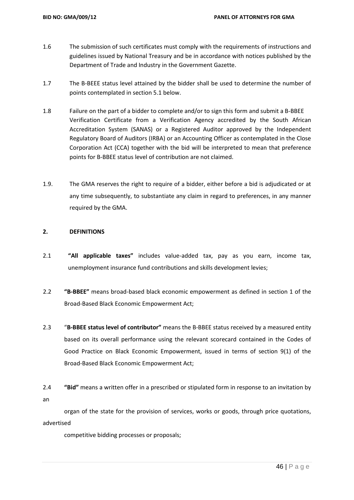- 1.6 The submission of such certificates must comply with the requirements of instructions and guidelines issued by National Treasury and be in accordance with notices published by the Department of Trade and Industry in the Government Gazette.
- 1.7 The B-BEEE status level attained by the bidder shall be used to determine the number of points contemplated in section 5.1 below.
- 1.8 Failure on the part of a bidder to complete and/or to sign this form and submit a B-BBEE Verification Certificate from a Verification Agency accredited by the South African Accreditation System (SANAS) or a Registered Auditor approved by the Independent Regulatory Board of Auditors (IRBA) or an Accounting Officer as contemplated in the Close Corporation Act (CCA) together with the bid will be interpreted to mean that preference points for B-BBEE status level of contribution are not claimed.
- 1.9. The GMA reserves the right to require of a bidder, either before a bid is adjudicated or at any time subsequently, to substantiate any claim in regard to preferences, in any manner required by the GMA.

## **2. DEFINITIONS**

- 2.1 **"All applicable taxes"** includes value-added tax, pay as you earn, income tax, unemployment insurance fund contributions and skills development levies;
- 2.2 **"B-BBEE"** means broad-based black economic empowerment as defined in section 1 of the Broad-Based Black Economic Empowerment Act;
- 2.3 "**B-BBEE status level of contributor"** means the B-BBEE status received by a measured entity based on its overall performance using the relevant scorecard contained in the Codes of Good Practice on Black Economic Empowerment, issued in terms of section 9(1) of the Broad-Based Black Economic Empowerment Act;
- 2.4 **"Bid"** means a written offer in a prescribed or stipulated form in response to an invitation by an

organ of the state for the provision of services, works or goods, through price quotations, advertised

competitive bidding processes or proposals;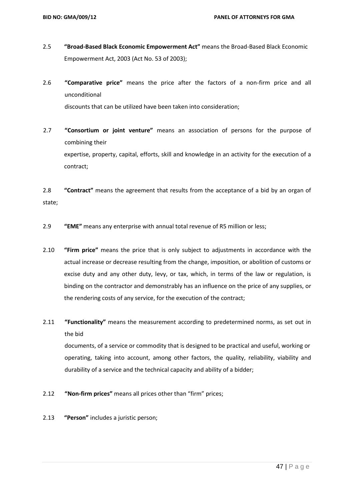- 2.5 **"Broad-Based Black Economic Empowerment Act"** means the Broad-Based Black Economic Empowerment Act, 2003 (Act No. 53 of 2003);
- 2.6 **"Comparative price"** means the price after the factors of a non-firm price and all unconditional discounts that can be utilized have been taken into consideration;
- 2.7 **"Consortium or joint venture"** means an association of persons for the purpose of combining their expertise, property, capital, efforts, skill and knowledge in an activity for the execution of a contract;

2.8 **"Contract"** means the agreement that results from the acceptance of a bid by an organ of state;

- 2.9 **"EME"** means any enterprise with annual total revenue of R5 million or less;
- 2.10 **"Firm price"** means the price that is only subject to adjustments in accordance with the actual increase or decrease resulting from the change, imposition, or abolition of customs or excise duty and any other duty, levy, or tax, which, in terms of the law or regulation, is binding on the contractor and demonstrably has an influence on the price of any supplies, or the rendering costs of any service, for the execution of the contract;
- 2.11 **"Functionality"** means the measurement according to predetermined norms, as set out in the bid

documents, of a service or commodity that is designed to be practical and useful, working or operating, taking into account, among other factors, the quality, reliability, viability and durability of a service and the technical capacity and ability of a bidder;

- 2.12 **"Non-firm prices"** means all prices other than "firm" prices;
- 2.13 **"Person"** includes a juristic person;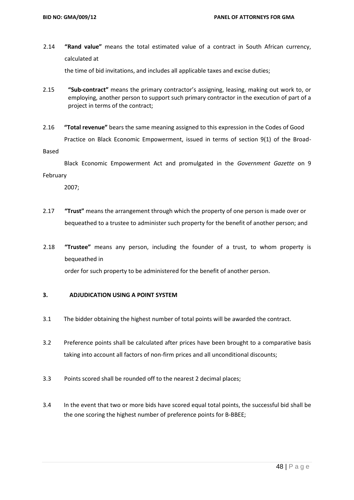2.14 **"Rand value"** means the total estimated value of a contract in South African currency, calculated at

the time of bid invitations, and includes all applicable taxes and excise duties;

- 2.15 **"Sub-contract"** means the primary contractor's assigning, leasing, making out work to, or employing, another person to support such primary contractor in the execution of part of a project in terms of the contract;
- 2.16 **"Total revenue"** bears the same meaning assigned to this expression in the Codes of Good Practice on Black Economic Empowerment, issued in terms of section 9(1) of the Broad-

Based

 Black Economic Empowerment Act and promulgated in the *Government Gazette* on 9 February

2007;

- 2.17 **"Trust"** means the arrangement through which the property of one person is made over or bequeathed to a trustee to administer such property for the benefit of another person; and
- 2.18 **"Trustee"** means any person, including the founder of a trust, to whom property is bequeathed in

order for such property to be administered for the benefit of another person.

#### **3. ADJUDICATION USING A POINT SYSTEM**

- 3.1 The bidder obtaining the highest number of total points will be awarded the contract.
- 3.2 Preference points shall be calculated after prices have been brought to a comparative basis taking into account all factors of non-firm prices and all unconditional discounts;
- 3.3 Points scored shall be rounded off to the nearest 2 decimal places;
- 3.4 In the event that two or more bids have scored equal total points, the successful bid shall be the one scoring the highest number of preference points for B-BBEE;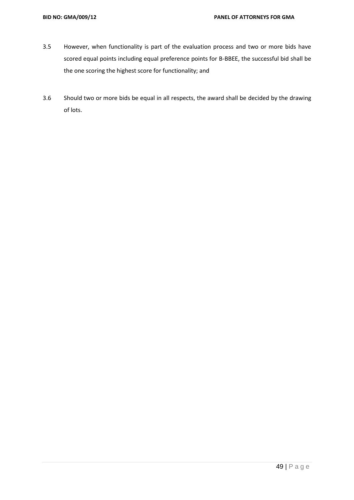- 3.5 However, when functionality is part of the evaluation process and two or more bids have scored equal points including equal preference points for B-BBEE, the successful bid shall be the one scoring the highest score for functionality; and
- 3.6 Should two or more bids be equal in all respects, the award shall be decided by the drawing of lots.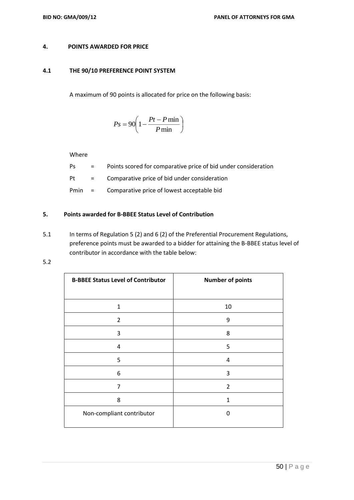#### **4. POINTS AWARDED FOR PRICE**

#### **4.1 THE 90/10 PREFERENCE POINT SYSTEM**

A maximum of 90 points is allocated for price on the following basis:

$$
Ps = 90 \left( 1 - \frac{Pt - P \min}{P \min} \right)
$$

Where

- Ps = Points scored for comparative price of bid under consideration
- Pt = Comparative price of bid under consideration
- Pmin = Comparative price of lowest acceptable bid

# **5. Points awarded for B-BBEE Status Level of Contribution**

- 5.1 In terms of Regulation 5 (2) and 6 (2) of the Preferential Procurement Regulations, preference points must be awarded to a bidder for attaining the B-BBEE status level of contributor in accordance with the table below:
- 5.2

| <b>B-BBEE Status Level of Contributor</b> | <b>Number of points</b> |
|-------------------------------------------|-------------------------|
|                                           |                         |
| $\mathbf{1}$                              | 10                      |
| $\overline{2}$                            | 9                       |
| 3                                         | 8                       |
| $\overline{4}$                            | 5                       |
| 5                                         | 4                       |
| 6                                         | 3                       |
| 7                                         | $\overline{2}$          |
| 8                                         | 1                       |
| Non-compliant contributor                 | 0                       |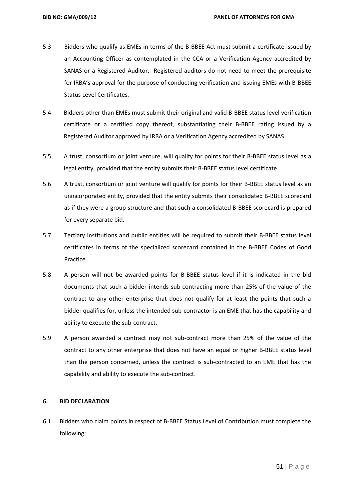- 5.3 Bidders who qualify as EMEs in terms of the B-BBEE Act must submit a certificate issued by an Accounting Officer as contemplated in the CCA or a Verification Agency accredited by SANAS or a Registered Auditor. Registered auditors do not need to meet the prerequisite for IRBA's approval for the purpose of conducting verification and issuing EMEs with B-BBEE Status Level Certificates.
- 5.4 Bidders other than EMEs must submit their original and valid B-BBEE status level verification certificate or a certified copy thereof, substantiating their B-BBEE rating issued by a Registered Auditor approved by IRBA or a Verification Agency accredited by SANAS.
- 5.5 A trust, consortium or joint venture, will qualify for points for their B-BBEE status level as a legal entity, provided that the entity submits their B-BBEE status level certificate.
- 5.6 A trust, consortium or joint venture will qualify for points for their B-BBEE status level as an unincorporated entity, provided that the entity submits their consolidated B-BBEE scorecard as if they were a group structure and that such a consolidated B-BBEE scorecard is prepared for every separate bid.
- 5.7 Tertiary institutions and public entities will be required to submit their B-BBEE status level certificates in terms of the specialized scorecard contained in the B-BBEE Codes of Good Practice.
- 5.8 A person will not be awarded points for B-BBEE status level if it is indicated in the bid documents that such a bidder intends sub-contracting more than 25% of the value of the contract to any other enterprise that does not qualify for at least the points that such a bidder qualifies for, unless the intended sub-contractor is an EME that has the capability and ability to execute the sub-contract.
- 5.9 A person awarded a contract may not sub-contract more than 25% of the value of the contract to any other enterprise that does not have an equal or higher B-BBEE status level than the person concerned, unless the contract is sub-contracted to an EME that has the capability and ability to execute the sub-contract.

### **6. BID DECLARATION**

6.1 Bidders who claim points in respect of B-BBEE Status Level of Contribution must complete the following: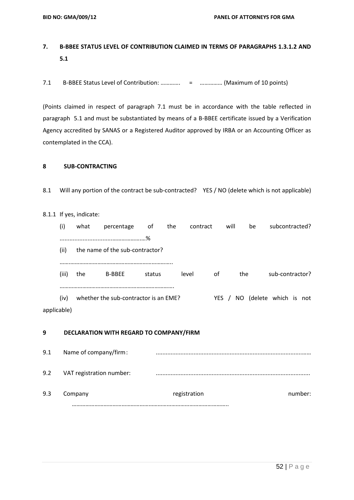# **7. B-BBEE STATUS LEVEL OF CONTRIBUTION CLAIMED IN TERMS OF PARAGRAPHS 1.3.1.2 AND 5.1**

7.1 B-BBEE Status Level of Contribution: …………. = …………… (Maximum of 10 points)

(Points claimed in respect of paragraph 7.1 must be in accordance with the table reflected in paragraph 5.1 and must be substantiated by means of a B-BBEE certificate issued by a Verification Agency accredited by SANAS or a Registered Auditor approved by IRBA or an Accounting Officer as contemplated in the CCA).

# **8 SUB-CONTRACTING**

8.1 Will any portion of the contract be sub-contracted? YES / NO (delete which is not applicable)

#### 8.1.1 If yes, indicate:

|             | (i)   | what | percentage                            | оt     | the | contract |       | will | be  | subcontracted?       |
|-------------|-------|------|---------------------------------------|--------|-----|----------|-------|------|-----|----------------------|
|             |       |      |                                       | .%     |     |          |       |      |     |                      |
|             | (ii)  |      | the name of the sub-contractor?       |        |     |          |       |      |     |                      |
|             |       |      |                                       |        |     |          |       |      |     |                      |
|             | (iii) | the  | <b>B-BBEE</b>                         | status |     | level    | 0f    |      | the | sub-contractor?      |
|             |       |      |                                       |        |     |          |       |      |     |                      |
|             | (iv)  |      | whether the sub-contractor is an EME? |        |     |          | YES / |      | NO. | (delete which is not |
| applicable) |       |      |                                       |        |     |          |       |      |     |                      |

#### **9 DECLARATION WITH REGARD TO COMPANY/FIRM**

9.1 Name of company/firm: .........................................................................................…… 9.2 VAT registration number: .............................................................................................. 9.3 Company registration registration company registration …………………………………………………………………………………………..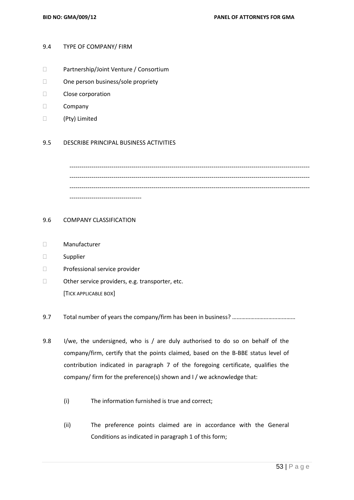#### 9.4 TYPE OF COMPANY/ FIRM

- Partnership/Joint Venture / Consortium
- □ One person business/sole propriety
- Close corporation
- D Company
- (Pty) Limited

#### 9.5 DESCRIBE PRINCIPAL BUSINESS ACTIVITIES

------------------------------------------------------------------------------------------------------------------------ ------------------------------------------------------------------------------------------------------------------------ ------------------------------------

#### 9.6 COMPANY CLASSIFICATION

- Manufacturer
- Supplier
- Professional service provider
- $\Box$  Other service providers, e.g. transporter, etc. [TICK APPLICABLE BOX]
- 9.7 Total number of years the company/firm has been in business? ……………………………………
- 9.8 I/we, the undersigned, who is / are duly authorised to do so on behalf of the company/firm, certify that the points claimed, based on the B-BBE status level of contribution indicated in paragraph 7 of the foregoing certificate, qualifies the company/ firm for the preference(s) shown and I / we acknowledge that:
	- (i) The information furnished is true and correct;
	- (ii) The preference points claimed are in accordance with the General Conditions as indicated in paragraph 1 of this form;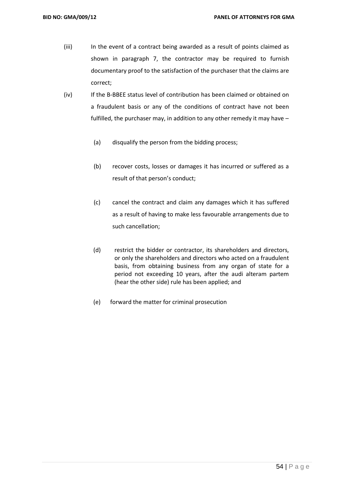- (iii) In the event of a contract being awarded as a result of points claimed as shown in paragraph 7, the contractor may be required to furnish documentary proof to the satisfaction of the purchaser that the claims are correct;
- (iv) If the B-BBEE status level of contribution has been claimed or obtained on a fraudulent basis or any of the conditions of contract have not been fulfilled, the purchaser may, in addition to any other remedy it may have –
	- (a) disqualify the person from the bidding process;
	- (b) recover costs, losses or damages it has incurred or suffered as a result of that person's conduct;
	- (c) cancel the contract and claim any damages which it has suffered as a result of having to make less favourable arrangements due to such cancellation;
	- (d) restrict the bidder or contractor, its shareholders and directors, or only the shareholders and directors who acted on a fraudulent basis, from obtaining business from any organ of state for a period not exceeding 10 years, after the audi alteram partem (hear the other side) rule has been applied; and
	- (e) forward the matter for criminal prosecution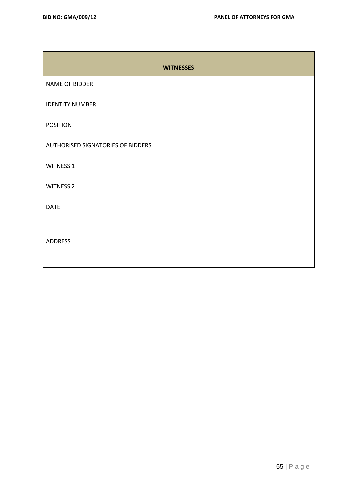| <b>WITNESSES</b>                         |  |
|------------------------------------------|--|
| NAME OF BIDDER                           |  |
| <b>IDENTITY NUMBER</b>                   |  |
| <b>POSITION</b>                          |  |
| <b>AUTHORISED SIGNATORIES OF BIDDERS</b> |  |
| <b>WITNESS 1</b>                         |  |
| <b>WITNESS 2</b>                         |  |
| <b>DATE</b>                              |  |
| <b>ADDRESS</b>                           |  |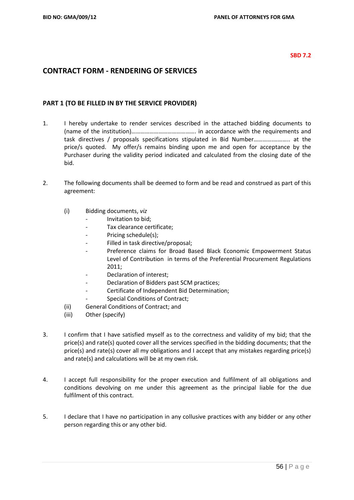#### **SBD 7.2**

# **CONTRACT FORM - RENDERING OF SERVICES**

# **PART 1 (TO BE FILLED IN BY THE SERVICE PROVIDER)**

- 1. I hereby undertake to render services described in the attached bidding documents to (name of the institution)……………………………………. in accordance with the requirements and task directives / proposals specifications stipulated in Bid Number………….……….. at the price/s quoted. My offer/s remains binding upon me and open for acceptance by the Purchaser during the validity period indicated and calculated from the closing date of the bid.
- 2. The following documents shall be deemed to form and be read and construed as part of this agreement:
	- (i) Bidding documents, *viz*
		- *-* Invitation to bid;
		- *-* Tax clearance certificate;
		- Pricing schedule(s);
		- *-* Filled in task directive/proposal;
		- *-* Preference claims for Broad Based Black Economic Empowerment Status Level of Contribution in terms of the Preferential Procurement Regulations 2011;
		- *-* Declaration of interest;
		- *-* Declaration of Bidders past SCM practices;
		- *-* Certificate of Independent Bid Determination;
		- **Special Conditions of Contract;**
	- (ii) General Conditions of Contract; and
	- (iii) Other (specify)
- 3. I confirm that I have satisfied myself as to the correctness and validity of my bid; that the price(s) and rate(s) quoted cover all the services specified in the bidding documents; that the price(s) and rate(s) cover all my obligations and I accept that any mistakes regarding price(s) and rate(s) and calculations will be at my own risk.
- 4. I accept full responsibility for the proper execution and fulfilment of all obligations and conditions devolving on me under this agreement as the principal liable for the due fulfilment of this contract.
- 5. I declare that I have no participation in any collusive practices with any bidder or any other person regarding this or any other bid.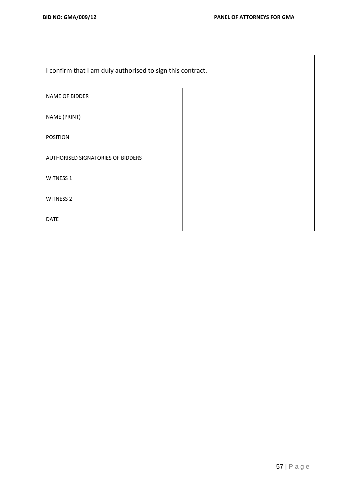$\mathbf{r}$ 

| I confirm that I am duly authorised to sign this contract. |  |
|------------------------------------------------------------|--|
| <b>NAME OF BIDDER</b>                                      |  |
| NAME (PRINT)                                               |  |
| <b>POSITION</b>                                            |  |
| AUTHORISED SIGNATORIES OF BIDDERS                          |  |
| <b>WITNESS 1</b>                                           |  |
| <b>WITNESS 2</b>                                           |  |
| <b>DATE</b>                                                |  |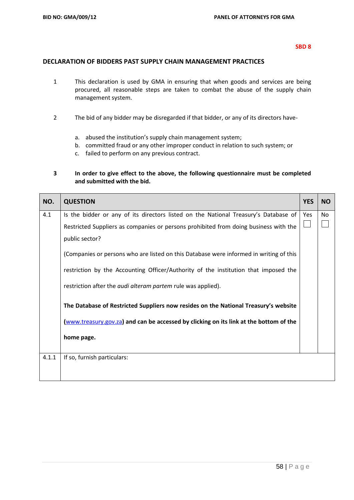# **DECLARATION OF BIDDERS PAST SUPPLY CHAIN MANAGEMENT PRACTICES**

- 1 This declaration is used by GMA in ensuring that when goods and services are being procured, all reasonable steps are taken to combat the abuse of the supply chain management system.
- 2 The bid of any bidder may be disregarded if that bidder, or any of its directors have
	- a. abused the institution's supply chain management system;
	- b. committed fraud or any other improper conduct in relation to such system; or
	- c. failed to perform on any previous contract.

# **3 In order to give effect to the above, the following questionnaire must be completed and submitted with the bid.**

| NO.   | <b>QUESTION</b>                                                                        | <b>YES</b> | <b>NO</b> |
|-------|----------------------------------------------------------------------------------------|------------|-----------|
| 4.1   | Is the bidder or any of its directors listed on the National Treasury's Database of    | Yes        | No        |
|       | Restricted Suppliers as companies or persons prohibited from doing business with the   |            |           |
|       | public sector?                                                                         |            |           |
|       | (Companies or persons who are listed on this Database were informed in writing of this |            |           |
|       | restriction by the Accounting Officer/Authority of the institution that imposed the    |            |           |
|       | restriction after the <i>audi alteram partem</i> rule was applied).                    |            |           |
|       | The Database of Restricted Suppliers now resides on the National Treasury's website    |            |           |
|       | (www.treasury.gov.za) and can be accessed by clicking on its link at the bottom of the |            |           |
|       | home page.                                                                             |            |           |
| 4.1.1 | If so, furnish particulars:                                                            |            |           |
|       |                                                                                        |            |           |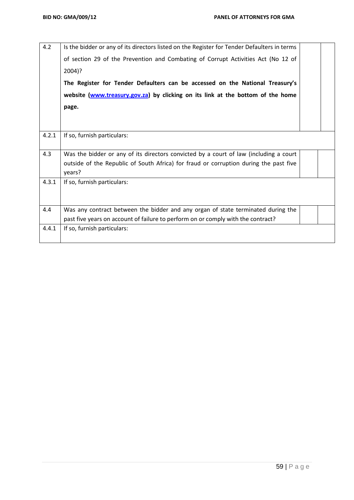| 4.2   | Is the bidder or any of its directors listed on the Register for Tender Defaulters in terms     |  |
|-------|-------------------------------------------------------------------------------------------------|--|
|       | of section 29 of the Prevention and Combating of Corrupt Activities Act (No 12 of               |  |
|       | $2004$ ?                                                                                        |  |
|       | The Register for Tender Defaulters can be accessed on the National Treasury's                   |  |
|       | website (www.treasury.gov.za) by clicking on its link at the bottom of the home                 |  |
|       | page.                                                                                           |  |
|       |                                                                                                 |  |
|       |                                                                                                 |  |
| 4.2.1 | If so, furnish particulars:                                                                     |  |
| 4.3   | Was the bidder or any of its directors convicted by a court of law (including a court           |  |
|       | outside of the Republic of South Africa) for fraud or corruption during the past five<br>years? |  |
| 4.3.1 | If so, furnish particulars:                                                                     |  |
|       |                                                                                                 |  |
| 4.4   | Was any contract between the bidder and any organ of state terminated during the                |  |
|       | past five years on account of failure to perform on or comply with the contract?                |  |
| 4.4.1 | If so, furnish particulars:                                                                     |  |
|       |                                                                                                 |  |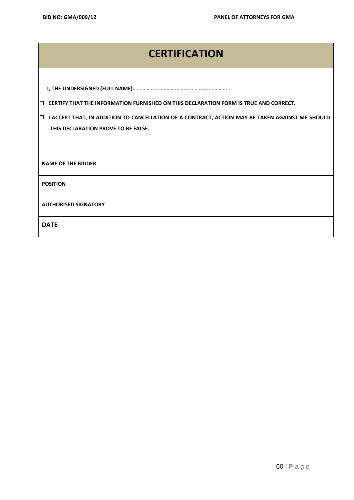# **CERTIFICATION**

|--|

**CERTIFY THAT THE INFORMATION FURNISHED ON THIS DECLARATION FORM IS TRUE AND CORRECT.**

 **I ACCEPT THAT, IN ADDITION TO CANCELLATION OF A CONTRACT, ACTION MAY BE TAKEN AGAINST ME SHOULD THIS DECLARATION PROVE TO BE FALSE.**

| <b>NAME OF THE BIDDER</b>   |  |
|-----------------------------|--|
| <b>POSITION</b>             |  |
| <b>AUTHORISED SIGNATORY</b> |  |
| <b>DATE</b>                 |  |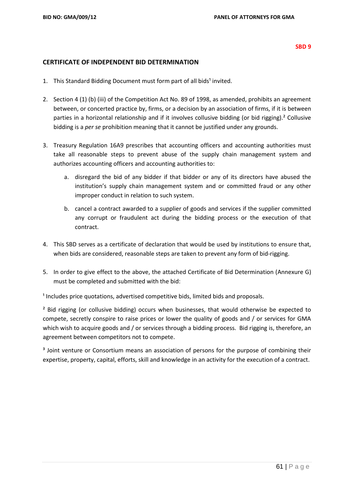#### **CERTIFICATE OF INDEPENDENT BID DETERMINATION**

- 1. This Standard Bidding Document must form part of all bids<sup>1</sup> invited.
- 2. Section 4 (1) (b) (iii) of the Competition Act No. 89 of 1998, as amended, prohibits an agreement between, or concerted practice by, firms, or a decision by an association of firms, if it is between parties in a horizontal relationship and if it involves collusive bidding (or bid rigging).² Collusive bidding is a *per se* prohibition meaning that it cannot be justified under any grounds.
- 3. Treasury Regulation 16A9 prescribes that accounting officers and accounting authorities must take all reasonable steps to prevent abuse of the supply chain management system and authorizes accounting officers and accounting authorities to:
	- a. disregard the bid of any bidder if that bidder or any of its directors have abused the institution's supply chain management system and or committed fraud or any other improper conduct in relation to such system.
	- b. cancel a contract awarded to a supplier of goods and services if the supplier committed any corrupt or fraudulent act during the bidding process or the execution of that contract.
- 4. This SBD serves as a certificate of declaration that would be used by institutions to ensure that, when bids are considered, reasonable steps are taken to prevent any form of bid-rigging.
- 5. In order to give effect to the above, the attached Certificate of Bid Determination (Annexure G) must be completed and submitted with the bid:

 $<sup>1</sup>$  Includes price quotations, advertised competitive bids, limited bids and proposals.</sup>

<sup>2</sup> Bid rigging (or collusive bidding) occurs when businesses, that would otherwise be expected to compete, secretly conspire to raise prices or lower the quality of goods and / or services for GMA which wish to acquire goods and / or services through a bidding process. Bid rigging is, therefore, an agreement between competitors not to compete.

<sup>3</sup> Joint venture or Consortium means an association of persons for the purpose of combining their expertise, property, capital, efforts, skill and knowledge in an activity for the execution of a contract.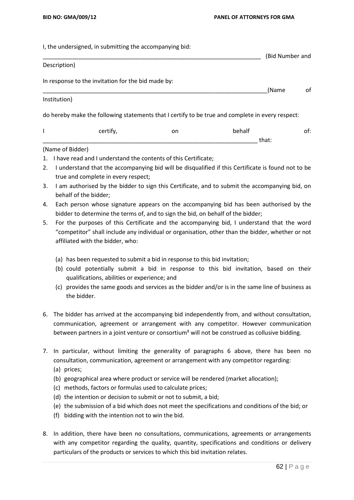I, the undersigned, in submitting the accompanying bid:

|                  |                                                    |    |                                                                                                  | (Bid Number and |
|------------------|----------------------------------------------------|----|--------------------------------------------------------------------------------------------------|-----------------|
| Description)     |                                                    |    |                                                                                                  |                 |
|                  | In response to the invitation for the bid made by: |    |                                                                                                  |                 |
|                  |                                                    |    | (Name                                                                                            | of              |
| Institution)     |                                                    |    |                                                                                                  |                 |
|                  |                                                    |    | do hereby make the following statements that I certify to be true and complete in every respect: |                 |
|                  | certify,                                           | on | behalf                                                                                           | of:             |
|                  |                                                    |    | that:                                                                                            |                 |
| (Name of Bidder) |                                                    |    |                                                                                                  |                 |

- 1. I have read and I understand the contents of this Certificate;
- 2. I understand that the accompanying bid will be disqualified if this Certificate is found not to be true and complete in every respect;
- 3. I am authorised by the bidder to sign this Certificate, and to submit the accompanying bid, on behalf of the bidder;
- 4. Each person whose signature appears on the accompanying bid has been authorised by the bidder to determine the terms of, and to sign the bid, on behalf of the bidder;
- 5. For the purposes of this Certificate and the accompanying bid, I understand that the word "competitor" shall include any individual or organisation, other than the bidder, whether or not affiliated with the bidder, who:
	- (a) has been requested to submit a bid in response to this bid invitation;
	- (b) could potentially submit a bid in response to this bid invitation, based on their qualifications, abilities or experience; and
	- (c) provides the same goods and services as the bidder and/or is in the same line of business as the bidder.
- 6. The bidder has arrived at the accompanying bid independently from, and without consultation, communication, agreement or arrangement with any competitor. However communication between partners in a joint venture or consortium<sup>3</sup> will not be construed as collusive bidding.
- 7. In particular, without limiting the generality of paragraphs 6 above, there has been no consultation, communication, agreement or arrangement with any competitor regarding:
	- (a) prices;
	- (b) geographical area where product or service will be rendered (market allocation);
	- (c) methods, factors or formulas used to calculate prices;
	- (d) the intention or decision to submit or not to submit, a bid;
	- (e) the submission of a bid which does not meet the specifications and conditions of the bid; or
	- (f) bidding with the intention not to win the bid.
- 8. In addition, there have been no consultations, communications, agreements or arrangements with any competitor regarding the quality, quantity, specifications and conditions or delivery particulars of the products or services to which this bid invitation relates.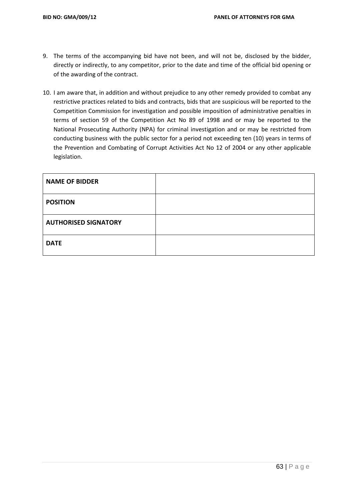- 9. The terms of the accompanying bid have not been, and will not be, disclosed by the bidder, directly or indirectly, to any competitor, prior to the date and time of the official bid opening or of the awarding of the contract.
- 10. I am aware that, in addition and without prejudice to any other remedy provided to combat any restrictive practices related to bids and contracts, bids that are suspicious will be reported to the Competition Commission for investigation and possible imposition of administrative penalties in terms of section 59 of the Competition Act No 89 of 1998 and or may be reported to the National Prosecuting Authority (NPA) for criminal investigation and or may be restricted from conducting business with the public sector for a period not exceeding ten (10) years in terms of the Prevention and Combating of Corrupt Activities Act No 12 of 2004 or any other applicable legislation.

| <b>NAME OF BIDDER</b>       |  |
|-----------------------------|--|
| <b>POSITION</b>             |  |
| <b>AUTHORISED SIGNATORY</b> |  |
| <b>DATE</b>                 |  |